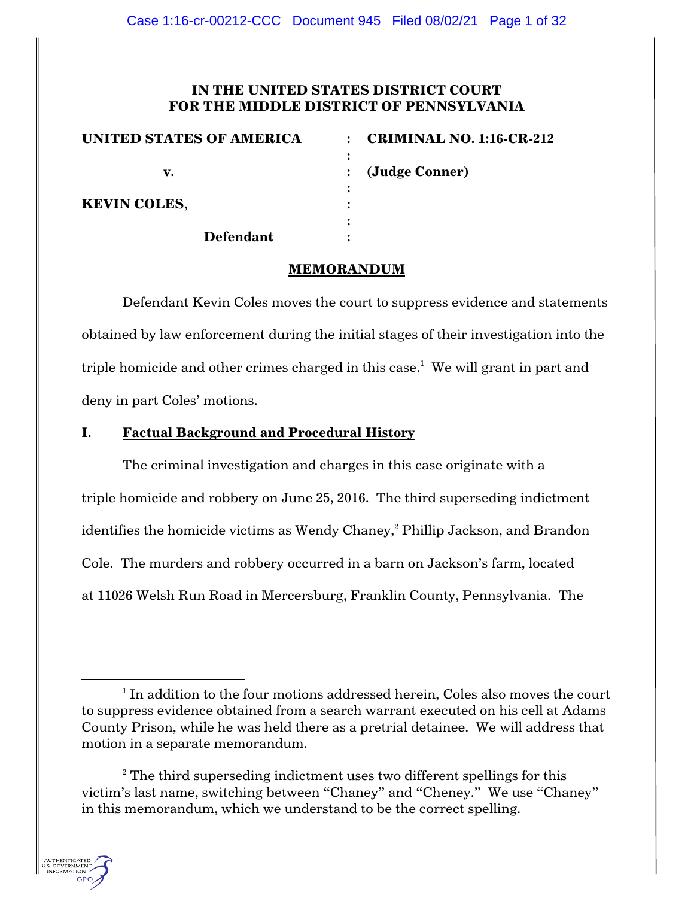# **IN THE UNITED STATES DISTRICT COURT FOR THE MIDDLE DISTRICT OF PENNSYLVANIA**

| <b>UNITED STATES OF AMERICA</b> | <b>CRIMINAL NO. 1:16-CR-212</b><br>$\bullet$ |
|---------------------------------|----------------------------------------------|
|                                 |                                              |
| v.                              | (Judge Conner)                               |
|                                 |                                              |
| <b>KEVIN COLES,</b>             |                                              |
|                                 |                                              |
| <b>Defendant</b>                |                                              |

### **MEMORANDUM**

Defendant Kevin Coles moves the court to suppress evidence and statements obtained by law enforcement during the initial stages of their investigation into the triple homicide and other crimes charged in this case. 1 We will grant in part and deny in part Coles' motions.

# **I. Factual Background and Procedural History**

The criminal investigation and charges in this case originate with a triple homicide and robbery on June 25, 2016. The third superseding indictment identifies the homicide victims as Wendy Chaney,<sup>2</sup> Phillip Jackson, and Brandon Cole. The murders and robbery occurred in a barn on Jackson's farm, located at 11026 Welsh Run Road in Mercersburg, Franklin County, Pennsylvania. The

 $2^2$  The third superseding indictment uses two different spellings for this victim's last name, switching between "Chaney" and "Cheney." We use "Chaney" in this memorandum, which we understand to be the correct spelling.



 $1$  In addition to the four motions addressed herein, Coles also moves the court to suppress evidence obtained from a search warrant executed on his cell at Adams County Prison, while he was held there as a pretrial detainee. We will address that motion in a separate memorandum.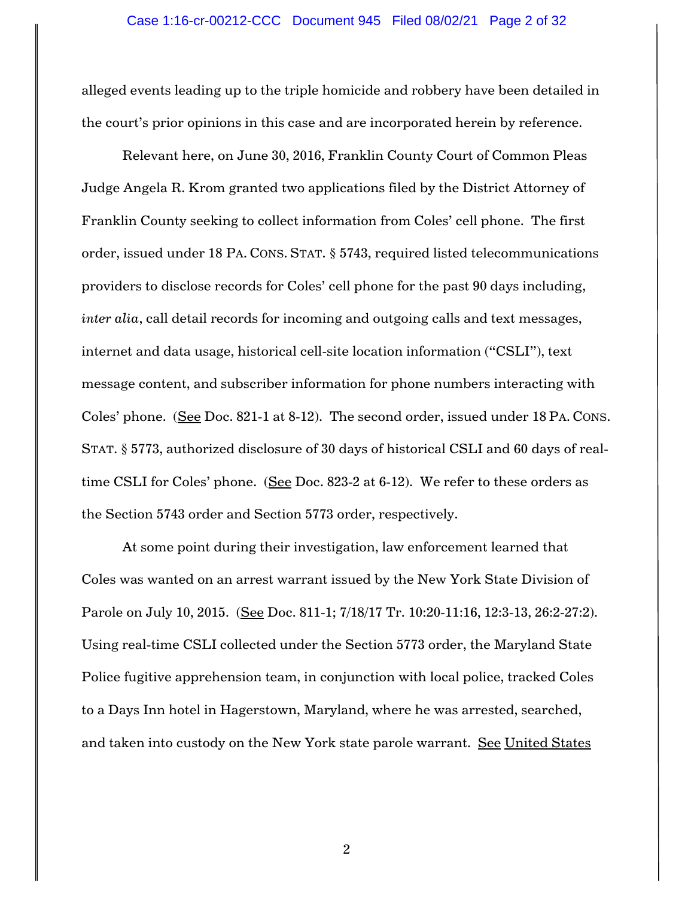alleged events leading up to the triple homicide and robbery have been detailed in the court's prior opinions in this case and are incorporated herein by reference.

Relevant here, on June 30, 2016, Franklin County Court of Common Pleas Judge Angela R. Krom granted two applications filed by the District Attorney of Franklin County seeking to collect information from Coles' cell phone. The first order, issued under 18 PA. CONS. STAT. § 5743, required listed telecommunications providers to disclose records for Coles' cell phone for the past 90 days including, *inter alia*, call detail records for incoming and outgoing calls and text messages, internet and data usage, historical cell-site location information ("CSLI"), text message content, and subscriber information for phone numbers interacting with Coles' phone. (See Doc. 821-1 at 8-12). The second order, issued under 18 PA. CONS. STAT. § 5773, authorized disclosure of 30 days of historical CSLI and 60 days of realtime CSLI for Coles' phone. (See Doc. 823-2 at 6-12). We refer to these orders as the Section 5743 order and Section 5773 order, respectively.

At some point during their investigation, law enforcement learned that Coles was wanted on an arrest warrant issued by the New York State Division of Parole on July 10, 2015. (See Doc. 811-1; 7/18/17 Tr. 10:20-11:16, 12:3-13, 26:2-27:2). Using real-time CSLI collected under the Section 5773 order, the Maryland State Police fugitive apprehension team, in conjunction with local police, tracked Coles to a Days Inn hotel in Hagerstown, Maryland, where he was arrested, searched, and taken into custody on the New York state parole warrant. See United States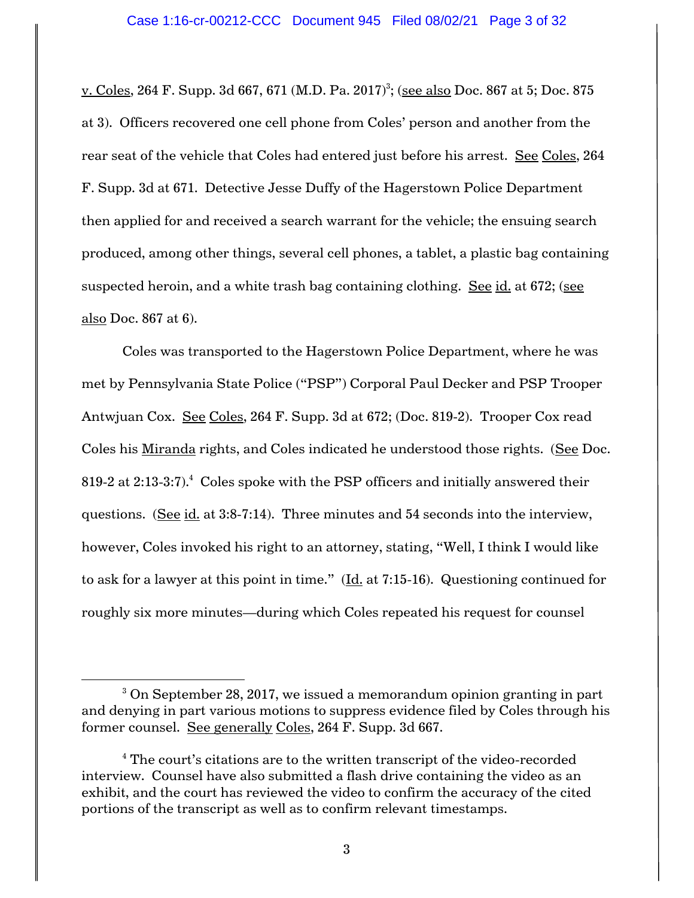<u>v. Coles,</u> 264 F. Supp. 3d 667, 671 (M.D. Pa. 2017)<sup>3</sup>; (<u>see also</u> Doc. 867 at 5; Doc. 875 at 3). Officers recovered one cell phone from Coles' person and another from the rear seat of the vehicle that Coles had entered just before his arrest. See Coles, 264 F. Supp. 3d at 671. Detective Jesse Duffy of the Hagerstown Police Department then applied for and received a search warrant for the vehicle; the ensuing search produced, among other things, several cell phones, a tablet, a plastic bag containing suspected heroin, and a white trash bag containing clothing. See id. at 672; (see also Doc. 867 at 6).

Coles was transported to the Hagerstown Police Department, where he was met by Pennsylvania State Police ("PSP") Corporal Paul Decker and PSP Trooper Antwjuan Cox. See Coles, 264 F. Supp. 3d at 672; (Doc. 819-2). Trooper Cox read Coles his Miranda rights, and Coles indicated he understood those rights. (See Doc. 819-2 at 2:13-3:7). $^4$  Coles spoke with the PSP officers and initially answered their questions. (See id. at 3:8-7:14). Three minutes and 54 seconds into the interview, however, Coles invoked his right to an attorney, stating, "Well, I think I would like to ask for a lawyer at this point in time."  $(\underline{Id}$  at 7:15-16). Questioning continued for roughly six more minutes—during which Coles repeated his request for counsel

<sup>&</sup>lt;sup>3</sup> On September 28, 2017, we issued a memorandum opinion granting in part and denying in part various motions to suppress evidence filed by Coles through his former counsel. See generally Coles, 264 F. Supp. 3d 667.

<sup>&</sup>lt;sup>4</sup> The court's citations are to the written transcript of the video-recorded interview. Counsel have also submitted a flash drive containing the video as an exhibit, and the court has reviewed the video to confirm the accuracy of the cited portions of the transcript as well as to confirm relevant timestamps.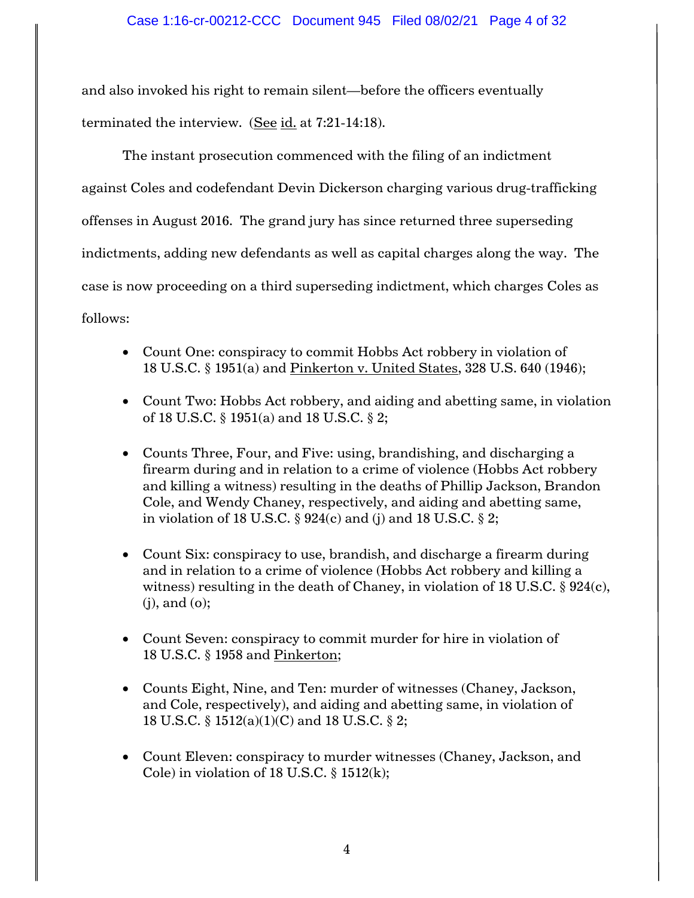and also invoked his right to remain silent—before the officers eventually terminated the interview. (See  $id.$  at 7:21-14:18).

The instant prosecution commenced with the filing of an indictment against Coles and codefendant Devin Dickerson charging various drug-trafficking offenses in August 2016. The grand jury has since returned three superseding indictments, adding new defendants as well as capital charges along the way. The case is now proceeding on a third superseding indictment, which charges Coles as follows:

- Count One: conspiracy to commit Hobbs Act robbery in violation of 18 U.S.C. § 1951(a) and Pinkerton v. United States, 328 U.S. 640 (1946);
- Count Two: Hobbs Act robbery, and aiding and abetting same, in violation of 18 U.S.C. § 1951(a) and 18 U.S.C. § 2;
- Counts Three, Four, and Five: using, brandishing, and discharging a firearm during and in relation to a crime of violence (Hobbs Act robbery and killing a witness) resulting in the deaths of Phillip Jackson, Brandon Cole, and Wendy Chaney, respectively, and aiding and abetting same, in violation of 18 U.S.C.  $\S 924(c)$  and (j) and 18 U.S.C.  $\S 2$ ;
- Count Six: conspiracy to use, brandish, and discharge a firearm during and in relation to a crime of violence (Hobbs Act robbery and killing a witness) resulting in the death of Chaney, in violation of 18 U.S.C.  $\S 924(c)$ , (j), and (o);
- Count Seven: conspiracy to commit murder for hire in violation of 18 U.S.C. § 1958 and Pinkerton;
- Counts Eight, Nine, and Ten: murder of witnesses (Chaney, Jackson, and Cole, respectively), and aiding and abetting same, in violation of 18 U.S.C. § 1512(a)(1)(C) and 18 U.S.C. § 2;
- Count Eleven: conspiracy to murder witnesses (Chaney, Jackson, and Cole) in violation of 18 U.S.C.  $\S$  1512(k);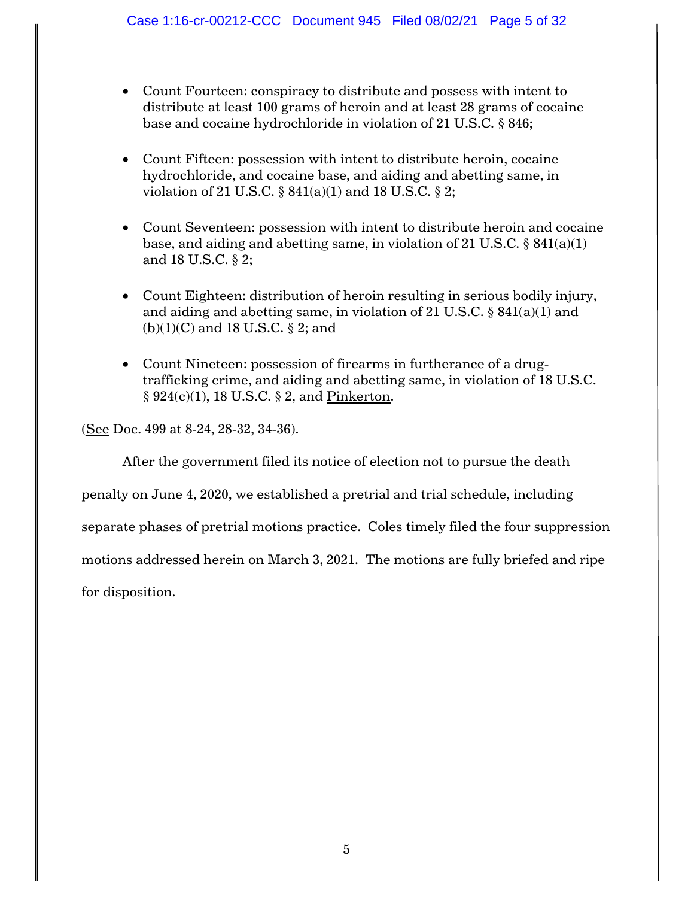- Count Fourteen: conspiracy to distribute and possess with intent to distribute at least 100 grams of heroin and at least 28 grams of cocaine base and cocaine hydrochloride in violation of 21 U.S.C. § 846;
- Count Fifteen: possession with intent to distribute heroin, cocaine hydrochloride, and cocaine base, and aiding and abetting same, in violation of 21 U.S.C.  $\S 841(a)(1)$  and 18 U.S.C.  $\S 2$ ;
- Count Seventeen: possession with intent to distribute heroin and cocaine base, and aiding and abetting same, in violation of 21 U.S.C.  $\S$  841(a)(1) and 18 U.S.C. § 2;
- Count Eighteen: distribution of heroin resulting in serious bodily injury, and aiding and abetting same, in violation of 21 U.S.C. § 841(a)(1) and  $(b)(1)(C)$  and 18 U.S.C. § 2; and
- Count Nineteen: possession of firearms in furtherance of a drugtrafficking crime, and aiding and abetting same, in violation of 18 U.S.C.  $\S 924(c)(1)$ , 18 U.S.C.  $\S 2$ , and Pinkerton.

(See Doc. 499 at 8-24, 28-32, 34-36).

After the government filed its notice of election not to pursue the death

penalty on June 4, 2020, we established a pretrial and trial schedule, including

separate phases of pretrial motions practice. Coles timely filed the four suppression

motions addressed herein on March 3, 2021. The motions are fully briefed and ripe

for disposition.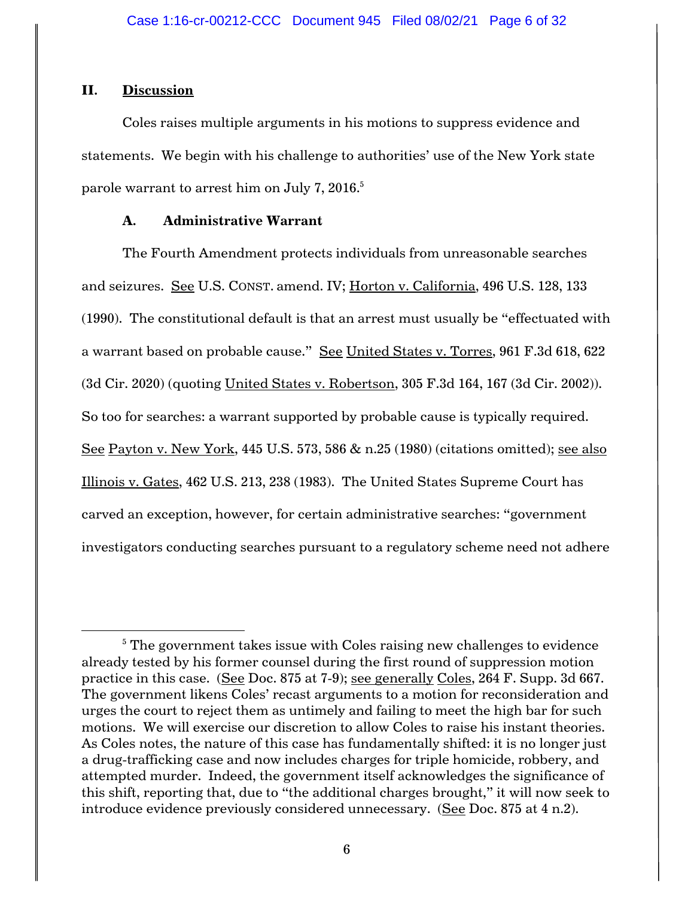## **II. Discussion**

Coles raises multiple arguments in his motions to suppress evidence and statements. We begin with his challenge to authorities' use of the New York state parole warrant to arrest him on July 7, 2016. $^{\rm 5}$ 

# **A. Administrative Warrant**

The Fourth Amendment protects individuals from unreasonable searches and seizures. See U.S. CONST. amend. IV; Horton v. California, 496 U.S. 128, 133 (1990). The constitutional default is that an arrest must usually be "effectuated with a warrant based on probable cause." See United States v. Torres, 961 F.3d 618, 622 (3d Cir. 2020) (quoting United States v. Robertson, 305 F.3d 164, 167 (3d Cir. 2002)). So too for searches: a warrant supported by probable cause is typically required. See Payton v. New York, 445 U.S. 573, 586 & n.25 (1980) (citations omitted); see also Illinois v. Gates, 462 U.S. 213, 238 (1983). The United States Supreme Court has carved an exception, however, for certain administrative searches: "government investigators conducting searches pursuant to a regulatory scheme need not adhere

 $5$  The government takes issue with Coles raising new challenges to evidence already tested by his former counsel during the first round of suppression motion practice in this case. (See Doc. 875 at 7-9); see generally Coles, 264 F. Supp. 3d 667. The government likens Coles' recast arguments to a motion for reconsideration and urges the court to reject them as untimely and failing to meet the high bar for such motions. We will exercise our discretion to allow Coles to raise his instant theories. As Coles notes, the nature of this case has fundamentally shifted: it is no longer just a drug-trafficking case and now includes charges for triple homicide, robbery, and attempted murder. Indeed, the government itself acknowledges the significance of this shift, reporting that, due to "the additional charges brought," it will now seek to introduce evidence previously considered unnecessary. (See Doc. 875 at 4 n.2).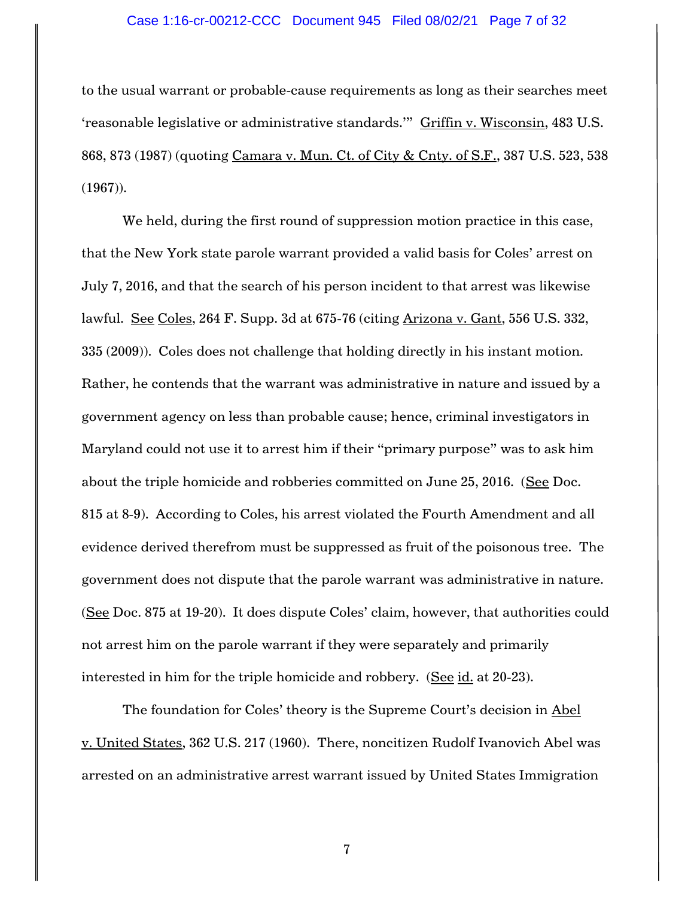### Case 1:16-cr-00212-CCC Document 945 Filed 08/02/21 Page 7 of 32

to the usual warrant or probable-cause requirements as long as their searches meet 'reasonable legislative or administrative standards.'" Griffin v. Wisconsin, 483 U.S. 868, 873 (1987) (quoting Camara v. Mun. Ct. of City & Cnty. of S.F., 387 U.S. 523, 538 (1967)).

We held, during the first round of suppression motion practice in this case, that the New York state parole warrant provided a valid basis for Coles' arrest on July 7, 2016, and that the search of his person incident to that arrest was likewise lawful. See Coles, 264 F. Supp. 3d at 675-76 (citing Arizona v. Gant, 556 U.S. 332, 335 (2009)). Coles does not challenge that holding directly in his instant motion. Rather, he contends that the warrant was administrative in nature and issued by a government agency on less than probable cause; hence, criminal investigators in Maryland could not use it to arrest him if their "primary purpose" was to ask him about the triple homicide and robberies committed on June 25, 2016. (See Doc. 815 at 8-9). According to Coles, his arrest violated the Fourth Amendment and all evidence derived therefrom must be suppressed as fruit of the poisonous tree. The government does not dispute that the parole warrant was administrative in nature. (See Doc. 875 at 19-20). It does dispute Coles' claim, however, that authorities could not arrest him on the parole warrant if they were separately and primarily interested in him for the triple homicide and robbery. (See id. at 20-23).

The foundation for Coles' theory is the Supreme Court's decision in Abel v. United States, 362 U.S. 217 (1960). There, noncitizen Rudolf Ivanovich Abel was arrested on an administrative arrest warrant issued by United States Immigration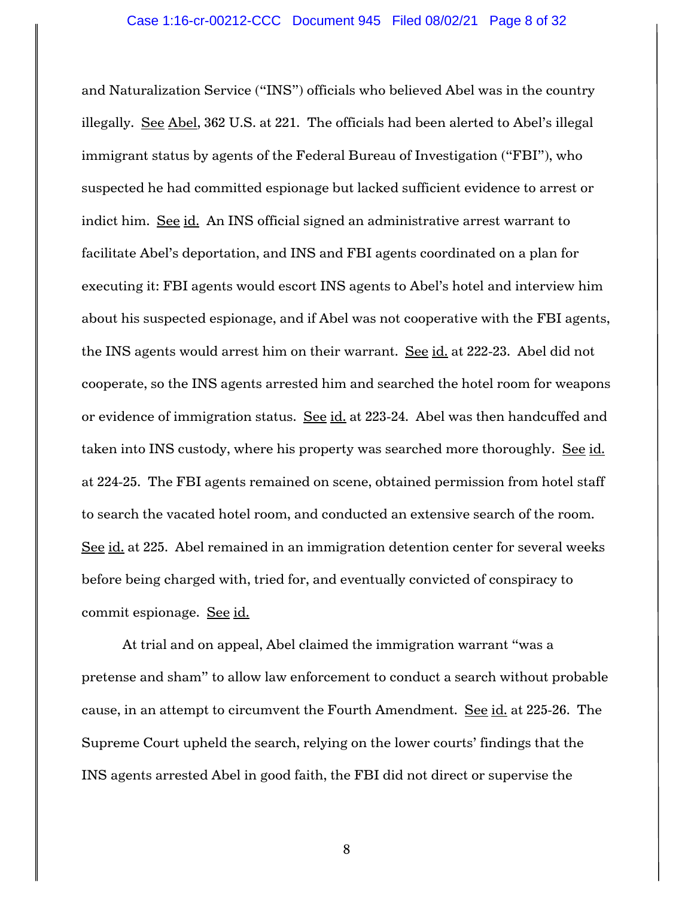and Naturalization Service ("INS") officials who believed Abel was in the country illegally. See Abel, 362 U.S. at 221. The officials had been alerted to Abel's illegal immigrant status by agents of the Federal Bureau of Investigation ("FBI"), who suspected he had committed espionage but lacked sufficient evidence to arrest or indict him. See id. An INS official signed an administrative arrest warrant to facilitate Abel's deportation, and INS and FBI agents coordinated on a plan for executing it: FBI agents would escort INS agents to Abel's hotel and interview him about his suspected espionage, and if Abel was not cooperative with the FBI agents, the INS agents would arrest him on their warrant. See id. at 222-23. Abel did not cooperate, so the INS agents arrested him and searched the hotel room for weapons or evidence of immigration status. See id. at 223-24. Abel was then handcuffed and taken into INS custody, where his property was searched more thoroughly. See id. at 224-25. The FBI agents remained on scene, obtained permission from hotel staff to search the vacated hotel room, and conducted an extensive search of the room. See id. at 225. Abel remained in an immigration detention center for several weeks before being charged with, tried for, and eventually convicted of conspiracy to commit espionage. See id.

At trial and on appeal, Abel claimed the immigration warrant "was a pretense and sham" to allow law enforcement to conduct a search without probable cause, in an attempt to circumvent the Fourth Amendment. See id. at 225-26. The Supreme Court upheld the search, relying on the lower courts' findings that the INS agents arrested Abel in good faith, the FBI did not direct or supervise the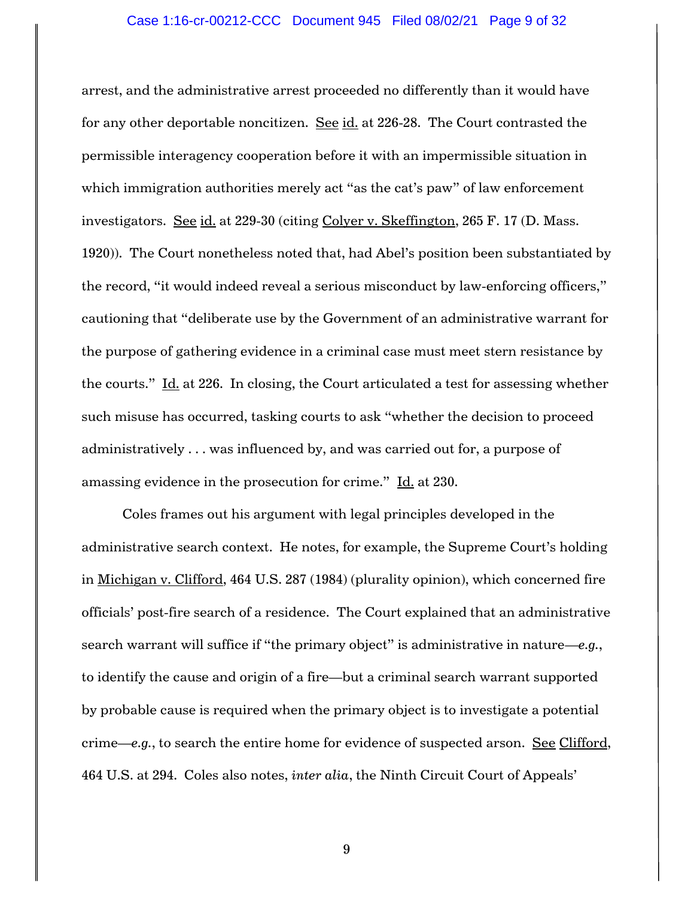#### Case 1:16-cr-00212-CCC Document 945 Filed 08/02/21 Page 9 of 32

arrest, and the administrative arrest proceeded no differently than it would have for any other deportable noncitizen. See id. at 226-28. The Court contrasted the permissible interagency cooperation before it with an impermissible situation in which immigration authorities merely act "as the cat's paw" of law enforcement investigators. See id. at 229-30 (citing Colyer v. Skeffington, 265 F. 17 (D. Mass. 1920)). The Court nonetheless noted that, had Abel's position been substantiated by the record, "it would indeed reveal a serious misconduct by law-enforcing officers," cautioning that "deliberate use by the Government of an administrative warrant for the purpose of gathering evidence in a criminal case must meet stern resistance by the courts." Id. at 226. In closing, the Court articulated a test for assessing whether such misuse has occurred, tasking courts to ask "whether the decision to proceed administratively . . . was influenced by, and was carried out for, a purpose of amassing evidence in the prosecution for crime." Id. at 230.

Coles frames out his argument with legal principles developed in the administrative search context. He notes, for example, the Supreme Court's holding in Michigan v. Clifford, 464 U.S. 287 (1984) (plurality opinion), which concerned fire officials' post-fire search of a residence. The Court explained that an administrative search warrant will suffice if "the primary object" is administrative in nature—*e.g.*, to identify the cause and origin of a fire—but a criminal search warrant supported by probable cause is required when the primary object is to investigate a potential crime—*e.g.*, to search the entire home for evidence of suspected arson. See Clifford, 464 U.S. at 294. Coles also notes, *inter alia*, the Ninth Circuit Court of Appeals'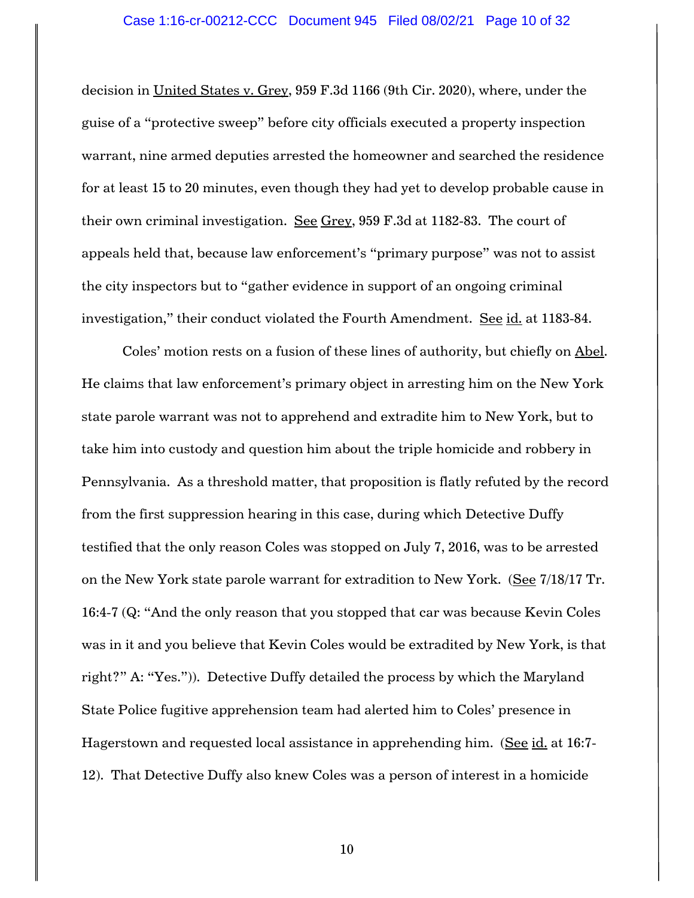decision in United States v. Grey, 959 F.3d 1166 (9th Cir. 2020), where, under the guise of a "protective sweep" before city officials executed a property inspection warrant, nine armed deputies arrested the homeowner and searched the residence for at least 15 to 20 minutes, even though they had yet to develop probable cause in their own criminal investigation. See Grey, 959 F.3d at 1182-83. The court of appeals held that, because law enforcement's "primary purpose" was not to assist the city inspectors but to "gather evidence in support of an ongoing criminal investigation," their conduct violated the Fourth Amendment. See id. at 1183-84.

Coles' motion rests on a fusion of these lines of authority, but chiefly on Abel. He claims that law enforcement's primary object in arresting him on the New York state parole warrant was not to apprehend and extradite him to New York, but to take him into custody and question him about the triple homicide and robbery in Pennsylvania. As a threshold matter, that proposition is flatly refuted by the record from the first suppression hearing in this case, during which Detective Duffy testified that the only reason Coles was stopped on July 7, 2016, was to be arrested on the New York state parole warrant for extradition to New York. (See 7/18/17 Tr. 16:4-7 (Q: "And the only reason that you stopped that car was because Kevin Coles was in it and you believe that Kevin Coles would be extradited by New York, is that right?" A: "Yes.")). Detective Duffy detailed the process by which the Maryland State Police fugitive apprehension team had alerted him to Coles' presence in Hagerstown and requested local assistance in apprehending him. (See id. at 16:7-12). That Detective Duffy also knew Coles was a person of interest in a homicide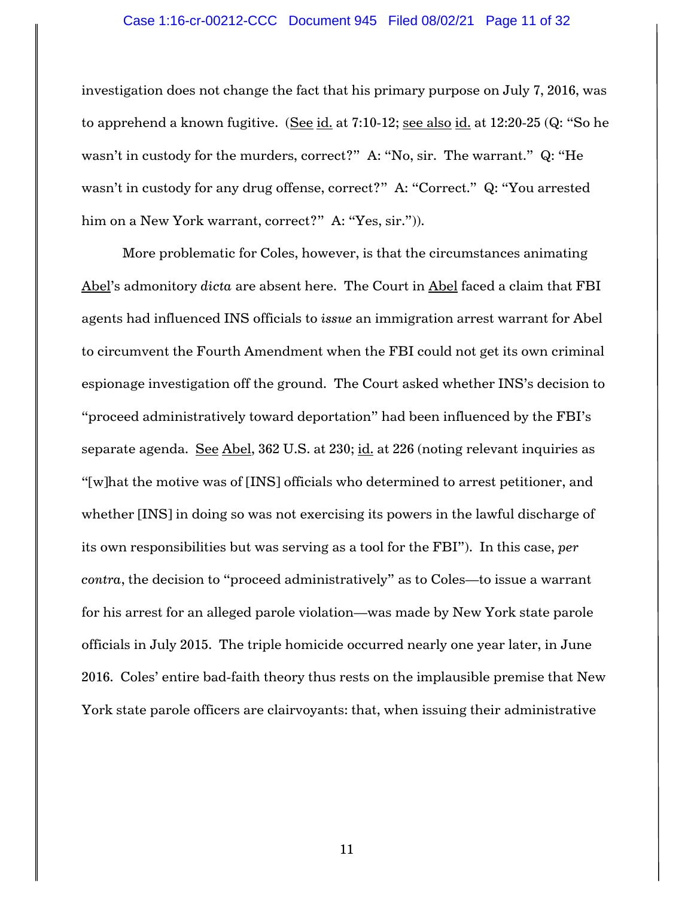### Case 1:16-cr-00212-CCC Document 945 Filed 08/02/21 Page 11 of 32

investigation does not change the fact that his primary purpose on July 7, 2016, was to apprehend a known fugitive. (See id. at 7:10-12; see also id. at 12:20-25 (Q: "So he wasn't in custody for the murders, correct?" A: "No, sir. The warrant." Q: "He wasn't in custody for any drug offense, correct?" A: "Correct." Q: "You arrested him on a New York warrant, correct?" A: "Yes, sir.")).

More problematic for Coles, however, is that the circumstances animating Abel's admonitory *dicta* are absent here. The Court in Abel faced a claim that FBI agents had influenced INS officials to *issue* an immigration arrest warrant for Abel to circumvent the Fourth Amendment when the FBI could not get its own criminal espionage investigation off the ground. The Court asked whether INS's decision to "proceed administratively toward deportation" had been influenced by the FBI's separate agenda. See Abel, 362 U.S. at 230; id. at 226 (noting relevant inquiries as "[w]hat the motive was of [INS] officials who determined to arrest petitioner, and whether [INS] in doing so was not exercising its powers in the lawful discharge of its own responsibilities but was serving as a tool for the FBI"). In this case, *per contra*, the decision to "proceed administratively" as to Coles—to issue a warrant for his arrest for an alleged parole violation—was made by New York state parole officials in July 2015. The triple homicide occurred nearly one year later, in June 2016. Coles' entire bad-faith theory thus rests on the implausible premise that New York state parole officers are clairvoyants: that, when issuing their administrative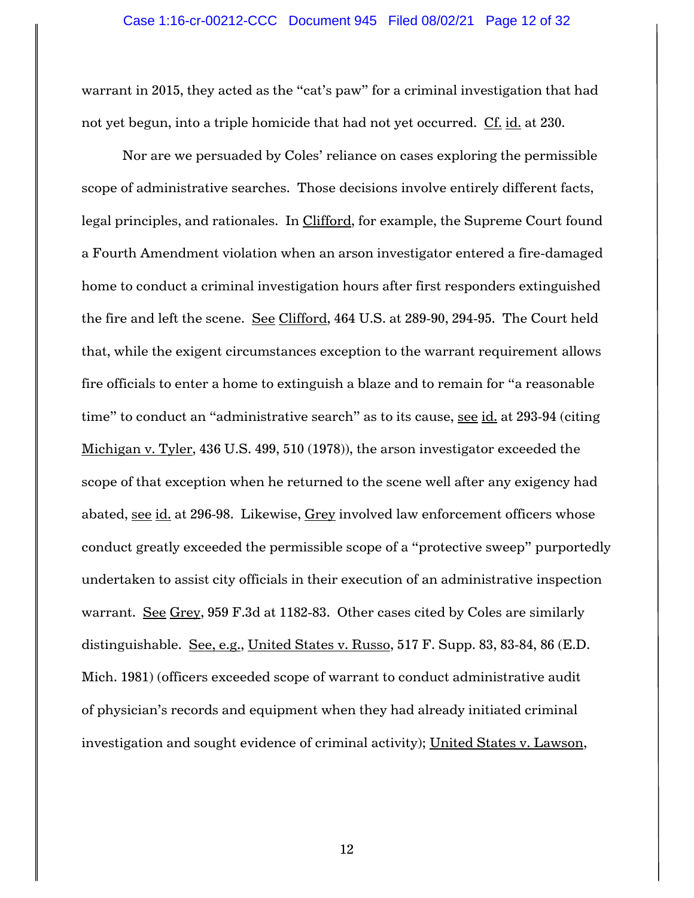warrant in 2015, they acted as the "cat's paw" for a criminal investigation that had not yet begun, into a triple homicide that had not yet occurred. Cf. id. at 230.

Nor are we persuaded by Coles' reliance on cases exploring the permissible scope of administrative searches. Those decisions involve entirely different facts, legal principles, and rationales. In Clifford, for example, the Supreme Court found a Fourth Amendment violation when an arson investigator entered a fire-damaged home to conduct a criminal investigation hours after first responders extinguished the fire and left the scene. See Clifford, 464 U.S. at 289-90, 294-95. The Court held that, while the exigent circumstances exception to the warrant requirement allows fire officials to enter a home to extinguish a blaze and to remain for "a reasonable time" to conduct an "administrative search" as to its cause, see id. at 293-94 (citing Michigan v. Tyler, 436 U.S. 499, 510 (1978)), the arson investigator exceeded the scope of that exception when he returned to the scene well after any exigency had abated, see id. at 296-98. Likewise, Grey involved law enforcement officers whose conduct greatly exceeded the permissible scope of a "protective sweep" purportedly undertaken to assist city officials in their execution of an administrative inspection warrant. See Grey, 959 F.3d at 1182-83. Other cases cited by Coles are similarly distinguishable. See, e.g., United States v. Russo, 517 F. Supp. 83, 83-84, 86 (E.D. Mich. 1981) (officers exceeded scope of warrant to conduct administrative audit of physician's records and equipment when they had already initiated criminal investigation and sought evidence of criminal activity); United States v. Lawson,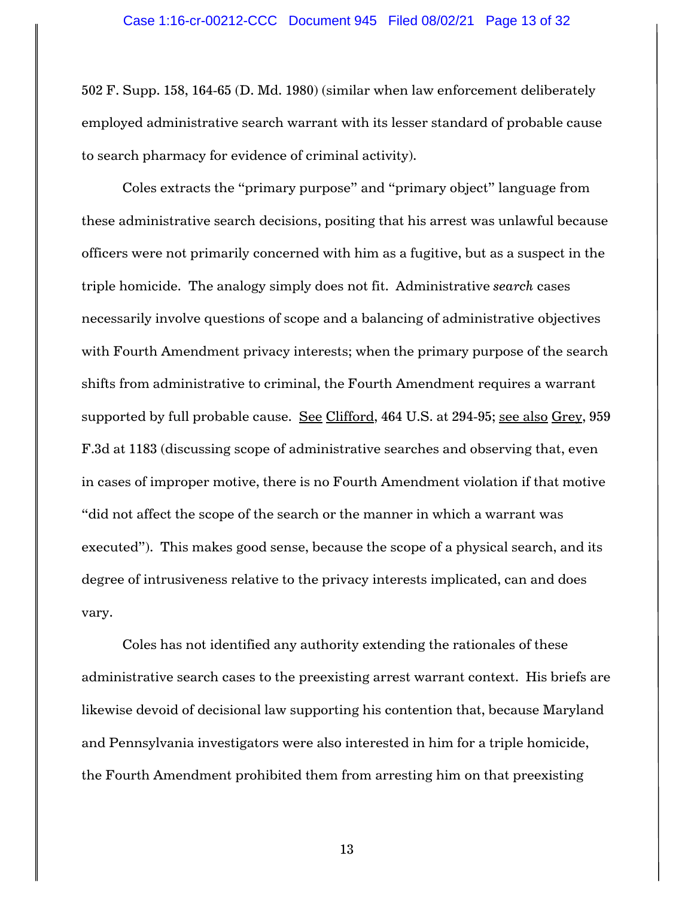502 F. Supp. 158, 164-65 (D. Md. 1980) (similar when law enforcement deliberately employed administrative search warrant with its lesser standard of probable cause to search pharmacy for evidence of criminal activity).

Coles extracts the "primary purpose" and "primary object" language from these administrative search decisions, positing that his arrest was unlawful because officers were not primarily concerned with him as a fugitive, but as a suspect in the triple homicide. The analogy simply does not fit. Administrative *search* cases necessarily involve questions of scope and a balancing of administrative objectives with Fourth Amendment privacy interests; when the primary purpose of the search shifts from administrative to criminal, the Fourth Amendment requires a warrant supported by full probable cause. See Clifford, 464 U.S. at 294-95; see also Grey, 959 F.3d at 1183 (discussing scope of administrative searches and observing that, even in cases of improper motive, there is no Fourth Amendment violation if that motive "did not affect the scope of the search or the manner in which a warrant was executed"). This makes good sense, because the scope of a physical search, and its degree of intrusiveness relative to the privacy interests implicated, can and does vary.

Coles has not identified any authority extending the rationales of these administrative search cases to the preexisting arrest warrant context. His briefs are likewise devoid of decisional law supporting his contention that, because Maryland and Pennsylvania investigators were also interested in him for a triple homicide, the Fourth Amendment prohibited them from arresting him on that preexisting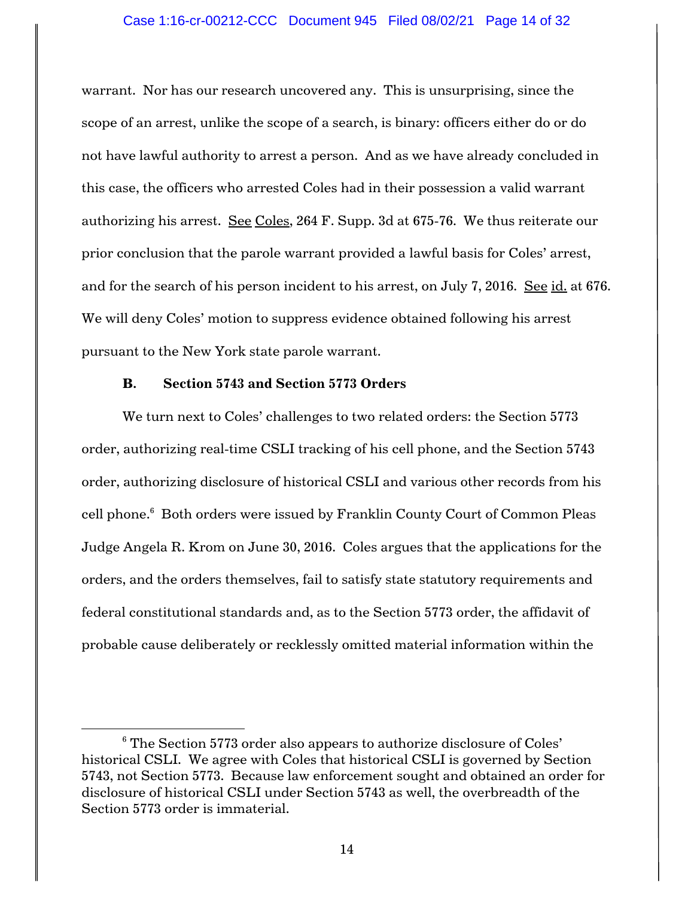warrant. Nor has our research uncovered any. This is unsurprising, since the scope of an arrest, unlike the scope of a search, is binary: officers either do or do not have lawful authority to arrest a person. And as we have already concluded in this case, the officers who arrested Coles had in their possession a valid warrant authorizing his arrest. See Coles, 264 F. Supp. 3d at 675-76. We thus reiterate our prior conclusion that the parole warrant provided a lawful basis for Coles' arrest, and for the search of his person incident to his arrest, on July 7, 2016. See id. at 676. We will deny Coles' motion to suppress evidence obtained following his arrest pursuant to the New York state parole warrant.

### **B. Section 5743 and Section 5773 Orders**

We turn next to Coles' challenges to two related orders: the Section 5773 order, authorizing real-time CSLI tracking of his cell phone, and the Section 5743 order, authorizing disclosure of historical CSLI and various other records from his cell phone.<sup>6</sup> Both orders were issued by Franklin County Court of Common Pleas Judge Angela R. Krom on June 30, 2016. Coles argues that the applications for the orders, and the orders themselves, fail to satisfy state statutory requirements and federal constitutional standards and, as to the Section 5773 order, the affidavit of probable cause deliberately or recklessly omitted material information within the

<sup>&</sup>lt;sup>6</sup> The Section 5773 order also appears to authorize disclosure of Coles' historical CSLI. We agree with Coles that historical CSLI is governed by Section 5743, not Section 5773. Because law enforcement sought and obtained an order for disclosure of historical CSLI under Section 5743 as well, the overbreadth of the Section 5773 order is immaterial.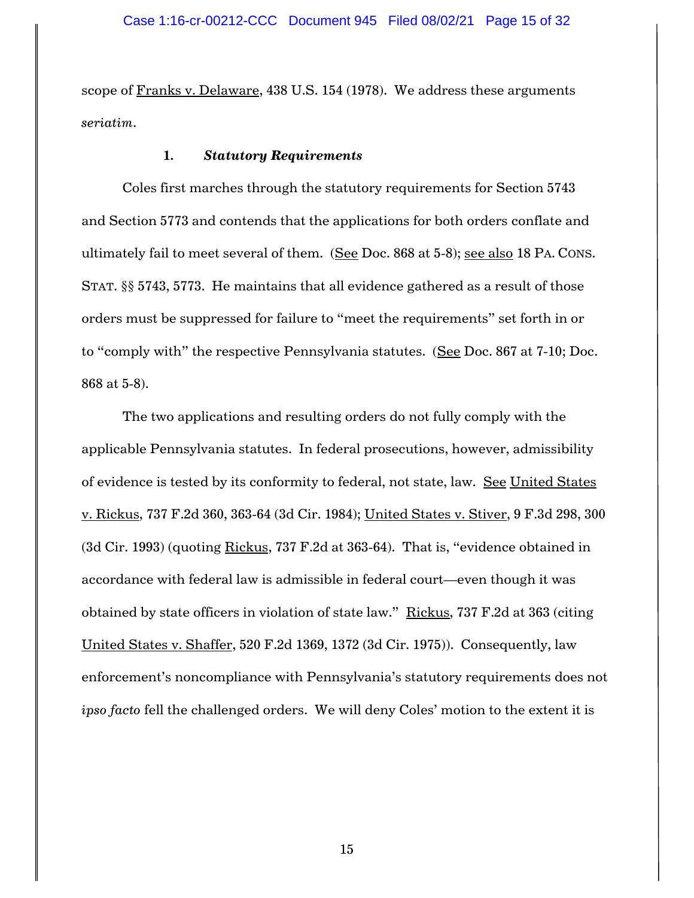scope of Franks v. Delaware, 438 U.S. 154 (1978). We address these arguments *seriatim*.

#### **1.** *Statutory Requirements*

Coles first marches through the statutory requirements for Section 5743 and Section 5773 and contends that the applications for both orders conflate and ultimately fail to meet several of them. (See Doc. 868 at 5-8); see also 18 PA. CONS. STAT. §§ 5743, 5773. He maintains that all evidence gathered as a result of those orders must be suppressed for failure to "meet the requirements" set forth in or to "comply with" the respective Pennsylvania statutes. (See Doc. 867 at 7-10; Doc. 868 at 5-8).

The two applications and resulting orders do not fully comply with the applicable Pennsylvania statutes. In federal prosecutions, however, admissibility of evidence is tested by its conformity to federal, not state, law. See United States v. Rickus, 737 F.2d 360, 363-64 (3d Cir. 1984); United States v. Stiver, 9 F.3d 298, 300 (3d Cir. 1993) (quoting Rickus, 737 F.2d at 363-64). That is, "evidence obtained in accordance with federal law is admissible in federal court—even though it was obtained by state officers in violation of state law." Rickus, 737 F.2d at 363 (citing United States v. Shaffer, 520 F.2d 1369, 1372 (3d Cir. 1975)). Consequently, law enforcement's noncompliance with Pennsylvania's statutory requirements does not *ipso facto* fell the challenged orders. We will deny Coles' motion to the extent it is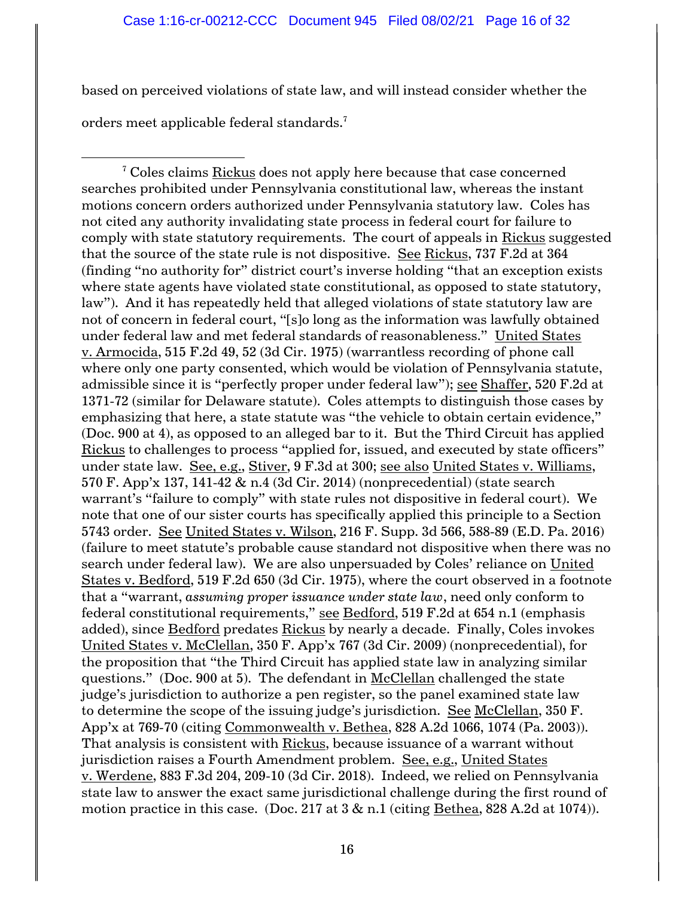based on perceived violations of state law, and will instead consider whether the

orders meet applicable federal standards.<sup>7</sup>

 $7$  Coles claims Rickus does not apply here because that case concerned searches prohibited under Pennsylvania constitutional law, whereas the instant motions concern orders authorized under Pennsylvania statutory law. Coles has not cited any authority invalidating state process in federal court for failure to comply with state statutory requirements. The court of appeals in Rickus suggested that the source of the state rule is not dispositive. See Rickus, 737 F.2d at 364 (finding "no authority for" district court's inverse holding "that an exception exists where state agents have violated state constitutional, as opposed to state statutory, law"). And it has repeatedly held that alleged violations of state statutory law are not of concern in federal court, "[s]o long as the information was lawfully obtained under federal law and met federal standards of reasonableness." United States v. Armocida, 515 F.2d 49, 52 (3d Cir. 1975) (warrantless recording of phone call where only one party consented, which would be violation of Pennsylvania statute, admissible since it is "perfectly proper under federal law"); see Shaffer, 520 F.2d at 1371-72 (similar for Delaware statute). Coles attempts to distinguish those cases by emphasizing that here, a state statute was "the vehicle to obtain certain evidence," (Doc. 900 at 4), as opposed to an alleged bar to it. But the Third Circuit has applied Rickus to challenges to process "applied for, issued, and executed by state officers" under state law. See, e.g., Stiver, 9 F.3d at 300; see also United States v. Williams, 570 F. App'x 137, 141-42 & n.4 (3d Cir. 2014) (nonprecedential) (state search warrant's "failure to comply" with state rules not dispositive in federal court). We note that one of our sister courts has specifically applied this principle to a Section 5743 order. See United States v. Wilson, 216 F. Supp. 3d 566, 588-89 (E.D. Pa. 2016) (failure to meet statute's probable cause standard not dispositive when there was no search under federal law). We are also unpersuaded by Coles' reliance on United States v. Bedford, 519 F.2d 650 (3d Cir. 1975), where the court observed in a footnote that a "warrant, *assuming proper issuance under state law*, need only conform to federal constitutional requirements," see Bedford, 519 F.2d at 654 n.1 (emphasis added), since Bedford predates Rickus by nearly a decade. Finally, Coles invokes United States v. McClellan, 350 F. App'x 767 (3d Cir. 2009) (nonprecedential), for the proposition that "the Third Circuit has applied state law in analyzing similar questions." (Doc. 900 at 5). The defendant in McClellan challenged the state judge's jurisdiction to authorize a pen register, so the panel examined state law to determine the scope of the issuing judge's jurisdiction. See McClellan, 350 F. App'x at 769-70 (citing Commonwealth v. Bethea, 828 A.2d 1066, 1074 (Pa. 2003)). That analysis is consistent with Rickus, because issuance of a warrant without jurisdiction raises a Fourth Amendment problem. See, e.g., United States v. Werdene, 883 F.3d 204, 209-10 (3d Cir. 2018). Indeed, we relied on Pennsylvania state law to answer the exact same jurisdictional challenge during the first round of motion practice in this case. (Doc. 217 at  $3 \& n.1$  (citing Bethea, 828 A.2d at 1074)).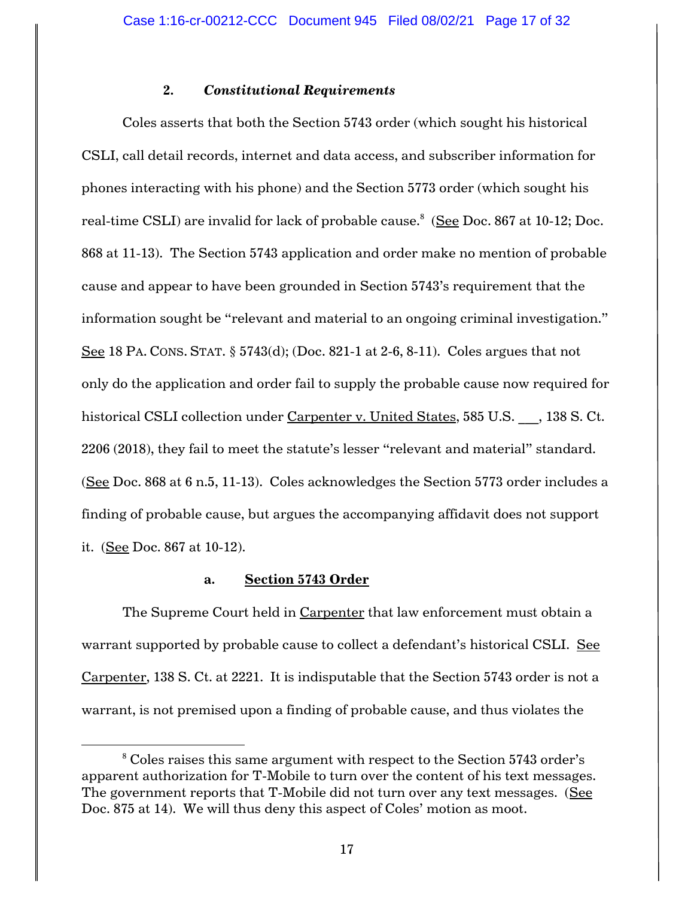### **2.** *Constitutional Requirements*

Coles asserts that both the Section 5743 order (which sought his historical CSLI, call detail records, internet and data access, and subscriber information for phones interacting with his phone) and the Section 5773 order (which sought his real-time CSLI) are invalid for lack of probable cause.<sup>8</sup> (<u>See</u> Doc. 867 at 10-12; Doc. 868 at 11-13). The Section 5743 application and order make no mention of probable cause and appear to have been grounded in Section 5743's requirement that the information sought be "relevant and material to an ongoing criminal investigation." See 18 PA. CONS. STAT. § 5743(d); (Doc. 821-1 at 2-6, 8-11). Coles argues that not only do the application and order fail to supply the probable cause now required for historical CSLI collection under Carpenter v. United States, 585 U.S. , 138 S. Ct. 2206 (2018), they fail to meet the statute's lesser "relevant and material" standard. (See Doc. 868 at 6 n.5, 11-13). Coles acknowledges the Section 5773 order includes a finding of probable cause, but argues the accompanying affidavit does not support it. (See Doc. 867 at 10-12).

#### **a. Section 5743 Order**

The Supreme Court held in Carpenter that law enforcement must obtain a warrant supported by probable cause to collect a defendant's historical CSLI. See Carpenter, 138 S. Ct. at 2221. It is indisputable that the Section 5743 order is not a warrant, is not premised upon a finding of probable cause, and thus violates the

<sup>&</sup>lt;sup>8</sup> Coles raises this same argument with respect to the Section 5743 order's apparent authorization for T-Mobile to turn over the content of his text messages. The government reports that T-Mobile did not turn over any text messages. (See Doc. 875 at 14). We will thus deny this aspect of Coles' motion as moot.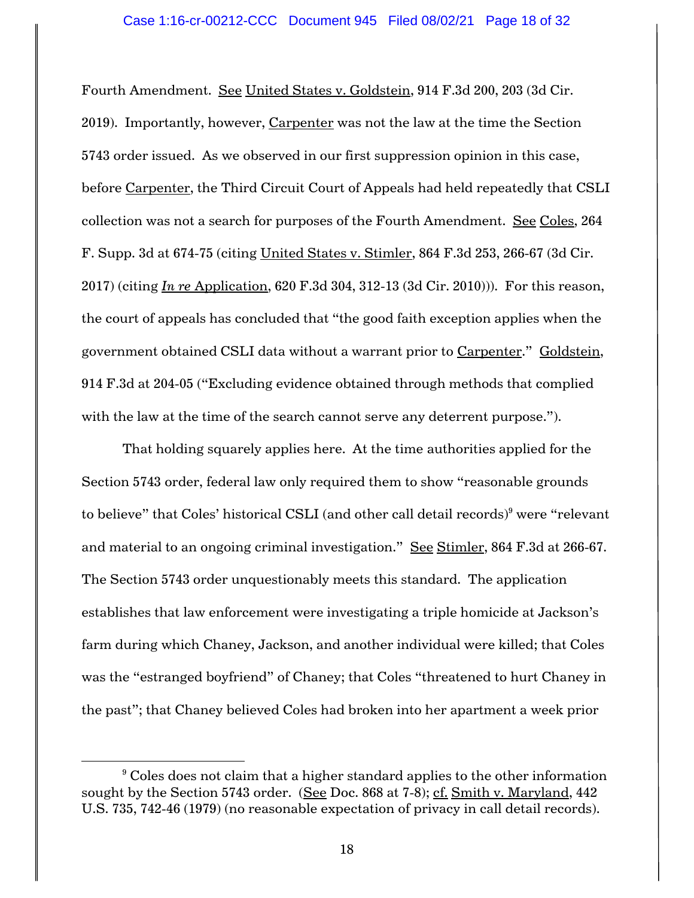Fourth Amendment. See United States v. Goldstein, 914 F.3d 200, 203 (3d Cir. 2019). Importantly, however, Carpenter was not the law at the time the Section 5743 order issued. As we observed in our first suppression opinion in this case, before Carpenter, the Third Circuit Court of Appeals had held repeatedly that CSLI collection was not a search for purposes of the Fourth Amendment. See Coles, 264 F. Supp. 3d at 674-75 (citing United States v. Stimler, 864 F.3d 253, 266-67 (3d Cir. 2017) (citing *In re* Application, 620 F.3d 304, 312-13 (3d Cir. 2010))). For this reason, the court of appeals has concluded that "the good faith exception applies when the government obtained CSLI data without a warrant prior to Carpenter." Goldstein, 914 F.3d at 204-05 ("Excluding evidence obtained through methods that complied with the law at the time of the search cannot serve any deterrent purpose.").

That holding squarely applies here. At the time authorities applied for the Section 5743 order, federal law only required them to show "reasonable grounds to believe" that Coles' historical CSLI (and other call detail records)<sup>9</sup> were "relevant and material to an ongoing criminal investigation." See Stimler, 864 F.3d at 266-67. The Section 5743 order unquestionably meets this standard. The application establishes that law enforcement were investigating a triple homicide at Jackson's farm during which Chaney, Jackson, and another individual were killed; that Coles was the "estranged boyfriend" of Chaney; that Coles "threatened to hurt Chaney in the past"; that Chaney believed Coles had broken into her apartment a week prior

 $9$  Coles does not claim that a higher standard applies to the other information sought by the Section 5743 order. (See Doc. 868 at 7-8); cf. Smith v. Maryland, 442 U.S. 735, 742-46 (1979) (no reasonable expectation of privacy in call detail records).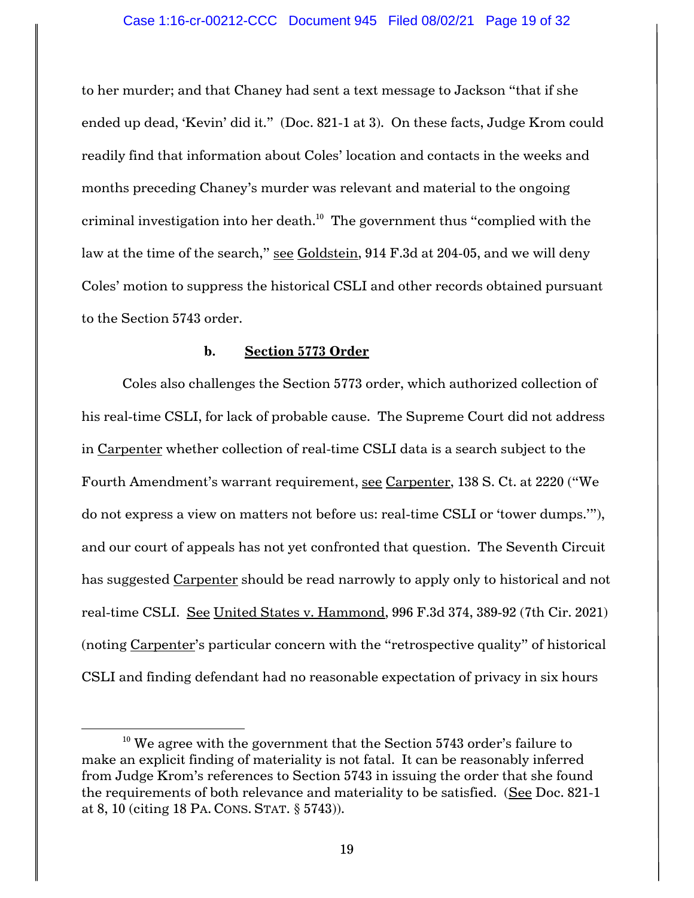to her murder; and that Chaney had sent a text message to Jackson "that if she ended up dead, 'Kevin' did it." (Doc. 821-1 at 3). On these facts, Judge Krom could readily find that information about Coles' location and contacts in the weeks and months preceding Chaney's murder was relevant and material to the ongoing criminal investigation into her death. $^{\rm 10}$  The government thus "complied with the law at the time of the search," see Goldstein, 914 F.3d at 204-05, and we will deny Coles' motion to suppress the historical CSLI and other records obtained pursuant to the Section 5743 order.

#### **b. Section 5773 Order**

Coles also challenges the Section 5773 order, which authorized collection of his real-time CSLI, for lack of probable cause. The Supreme Court did not address in Carpenter whether collection of real-time CSLI data is a search subject to the Fourth Amendment's warrant requirement, see Carpenter, 138 S. Ct. at 2220 ("We do not express a view on matters not before us: real-time CSLI or 'tower dumps.'"), and our court of appeals has not yet confronted that question. The Seventh Circuit has suggested Carpenter should be read narrowly to apply only to historical and not real-time CSLI. See United States v. Hammond, 996 F.3d 374, 389-92 (7th Cir. 2021) (noting Carpenter's particular concern with the "retrospective quality" of historical CSLI and finding defendant had no reasonable expectation of privacy in six hours

 $10$  We agree with the government that the Section 5743 order's failure to make an explicit finding of materiality is not fatal. It can be reasonably inferred from Judge Krom's references to Section 5743 in issuing the order that she found the requirements of both relevance and materiality to be satisfied. (See Doc. 821-1 at 8, 10 (citing 18 PA. CONS. STAT. § 5743)).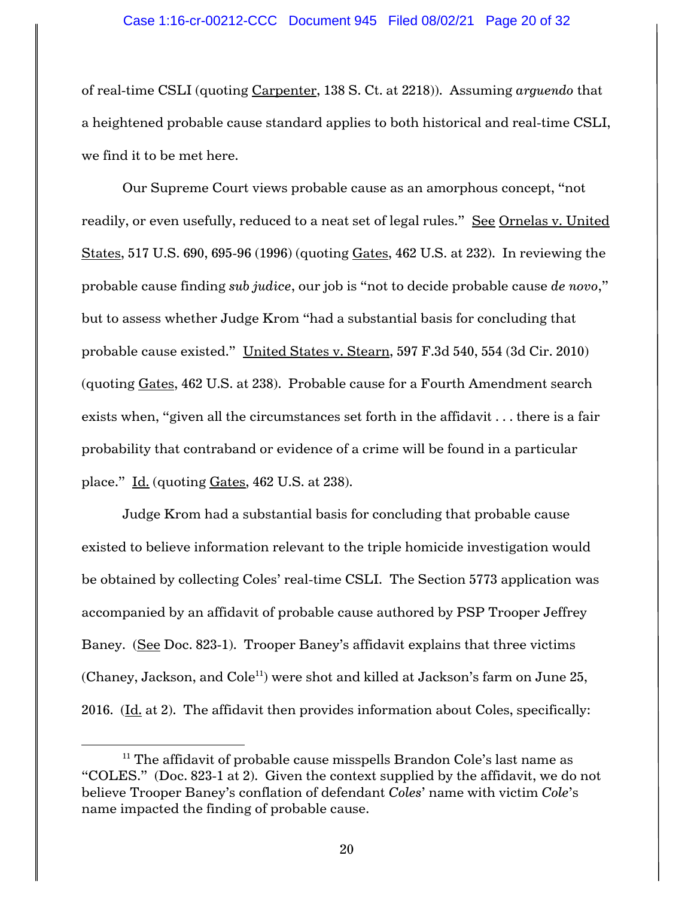of real-time CSLI (quoting Carpenter, 138 S. Ct. at 2218)). Assuming *arguendo* that a heightened probable cause standard applies to both historical and real-time CSLI, we find it to be met here.

Our Supreme Court views probable cause as an amorphous concept, "not readily, or even usefully, reduced to a neat set of legal rules." See Ornelas v. United States, 517 U.S. 690, 695-96 (1996) (quoting Gates, 462 U.S. at 232). In reviewing the probable cause finding *sub judice*, our job is "not to decide probable cause *de novo*," but to assess whether Judge Krom "had a substantial basis for concluding that probable cause existed." United States v. Stearn, 597 F.3d 540, 554 (3d Cir. 2010) (quoting Gates, 462 U.S. at 238). Probable cause for a Fourth Amendment search exists when, "given all the circumstances set forth in the affidavit . . . there is a fair probability that contraband or evidence of a crime will be found in a particular place." Id. (quoting Gates, 462 U.S. at 238).

Judge Krom had a substantial basis for concluding that probable cause existed to believe information relevant to the triple homicide investigation would be obtained by collecting Coles' real-time CSLI. The Section 5773 application was accompanied by an affidavit of probable cause authored by PSP Trooper Jeffrey Baney. (See Doc. 823-1). Trooper Baney's affidavit explains that three victims (Chaney, Jackson, and  $\text{Cole}^{11}$ ) were shot and killed at Jackson's farm on June 25, 2016. (Id. at 2). The affidavit then provides information about Coles, specifically:

 $11$  The affidavit of probable cause misspells Brandon Cole's last name as "COLES." (Doc. 823-1 at 2). Given the context supplied by the affidavit, we do not believe Trooper Baney's conflation of defendant *Coles*' name with victim *Cole*'s name impacted the finding of probable cause.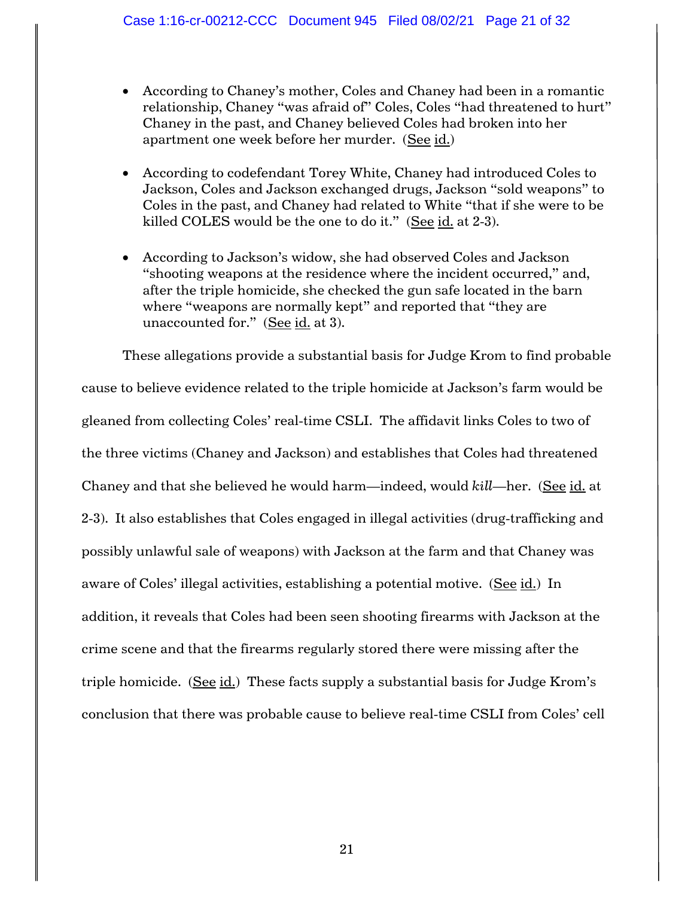- According to Chaney's mother, Coles and Chaney had been in a romantic relationship, Chaney "was afraid of" Coles, Coles "had threatened to hurt" Chaney in the past, and Chaney believed Coles had broken into her apartment one week before her murder. (See id.)
- According to codefendant Torey White, Chaney had introduced Coles to Jackson, Coles and Jackson exchanged drugs, Jackson "sold weapons" to Coles in the past, and Chaney had related to White "that if she were to be killed COLES would be the one to do it." (See id. at 2-3).
- According to Jackson's widow, she had observed Coles and Jackson "shooting weapons at the residence where the incident occurred," and, after the triple homicide, she checked the gun safe located in the barn where "weapons are normally kept" and reported that "they are unaccounted for." (See id. at 3).

These allegations provide a substantial basis for Judge Krom to find probable cause to believe evidence related to the triple homicide at Jackson's farm would be gleaned from collecting Coles' real-time CSLI. The affidavit links Coles to two of the three victims (Chaney and Jackson) and establishes that Coles had threatened Chaney and that she believed he would harm—indeed, would *kill*—her. (See id. at 2-3). It also establishes that Coles engaged in illegal activities (drug-trafficking and possibly unlawful sale of weapons) with Jackson at the farm and that Chaney was aware of Coles' illegal activities, establishing a potential motive. (See id.) In addition, it reveals that Coles had been seen shooting firearms with Jackson at the crime scene and that the firearms regularly stored there were missing after the triple homicide.  $(See id.)$  These facts supply a substantial basis for Judge Krom's conclusion that there was probable cause to believe real-time CSLI from Coles' cell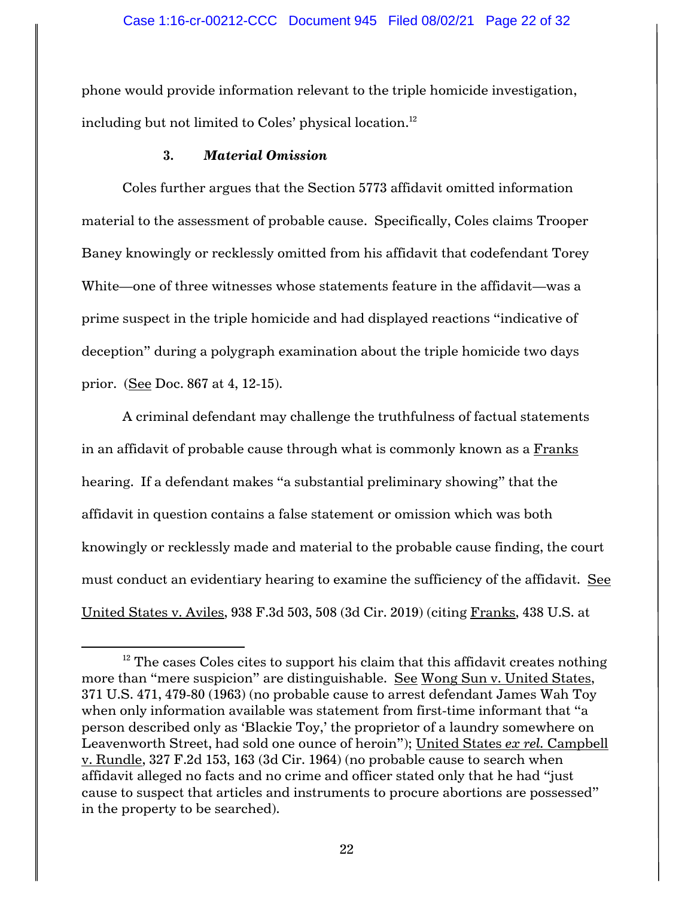phone would provide information relevant to the triple homicide investigation, including but not limited to Coles' physical location. 12

### **3.** *Material Omission*

Coles further argues that the Section 5773 affidavit omitted information material to the assessment of probable cause. Specifically, Coles claims Trooper Baney knowingly or recklessly omitted from his affidavit that codefendant Torey White—one of three witnesses whose statements feature in the affidavit—was a prime suspect in the triple homicide and had displayed reactions "indicative of deception" during a polygraph examination about the triple homicide two days prior. (See Doc. 867 at 4, 12-15).

A criminal defendant may challenge the truthfulness of factual statements in an affidavit of probable cause through what is commonly known as a Franks hearing. If a defendant makes "a substantial preliminary showing" that the affidavit in question contains a false statement or omission which was both knowingly or recklessly made and material to the probable cause finding, the court must conduct an evidentiary hearing to examine the sufficiency of the affidavit. See United States v. Aviles, 938 F.3d 503, 508 (3d Cir. 2019) (citing Franks, 438 U.S. at

 $12$  The cases Coles cites to support his claim that this affidavit creates nothing more than "mere suspicion" are distinguishable. See Wong Sun v. United States, 371 U.S. 471, 479-80 (1963) (no probable cause to arrest defendant James Wah Toy when only information available was statement from first-time informant that "a person described only as 'Blackie Toy,' the proprietor of a laundry somewhere on Leavenworth Street, had sold one ounce of heroin"); United States *ex rel.* Campbell v. Rundle, 327 F.2d 153, 163 (3d Cir. 1964) (no probable cause to search when affidavit alleged no facts and no crime and officer stated only that he had "just cause to suspect that articles and instruments to procure abortions are possessed" in the property to be searched).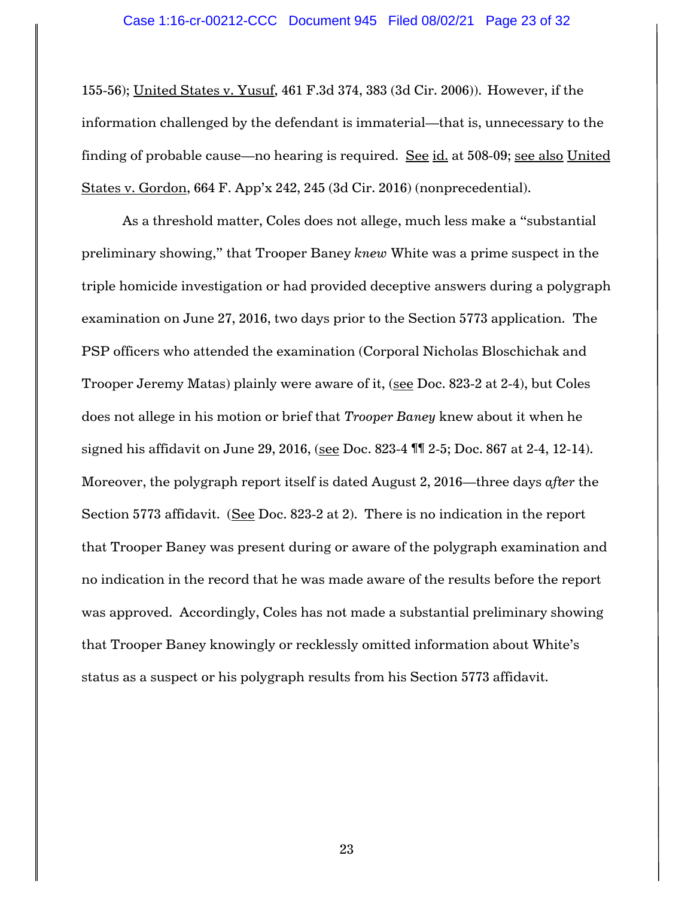155-56); United States v. Yusuf, 461 F.3d 374, 383 (3d Cir. 2006)). However, if the information challenged by the defendant is immaterial—that is, unnecessary to the finding of probable cause—no hearing is required. See id. at 508-09; see also United States v. Gordon, 664 F. App'x 242, 245 (3d Cir. 2016) (nonprecedential).

As a threshold matter, Coles does not allege, much less make a "substantial preliminary showing," that Trooper Baney *knew* White was a prime suspect in the triple homicide investigation or had provided deceptive answers during a polygraph examination on June 27, 2016, two days prior to the Section 5773 application. The PSP officers who attended the examination (Corporal Nicholas Bloschichak and Trooper Jeremy Matas) plainly were aware of it, (see Doc. 823-2 at 2-4), but Coles does not allege in his motion or brief that *Trooper Baney* knew about it when he signed his affidavit on June 29, 2016, (see Doc. 823-4 ¶¶ 2-5; Doc. 867 at 2-4, 12-14). Moreover, the polygraph report itself is dated August 2, 2016—three days *after* the Section 5773 affidavit. (See Doc. 823-2 at 2). There is no indication in the report that Trooper Baney was present during or aware of the polygraph examination and no indication in the record that he was made aware of the results before the report was approved. Accordingly, Coles has not made a substantial preliminary showing that Trooper Baney knowingly or recklessly omitted information about White's status as a suspect or his polygraph results from his Section 5773 affidavit.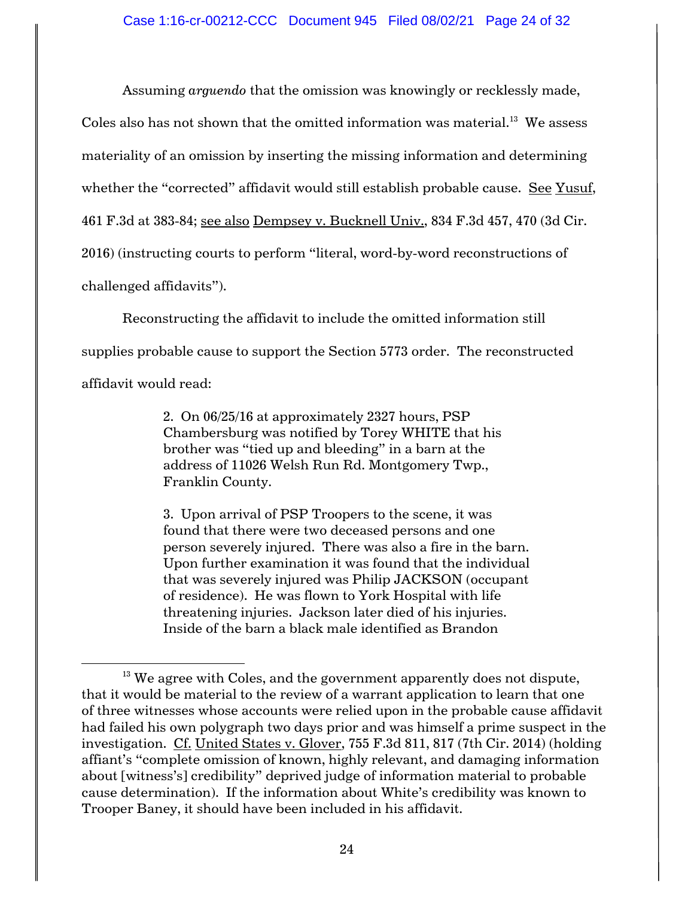Assuming *arguendo* that the omission was knowingly or recklessly made,

Coles also has not shown that the omitted information was material. $^{\rm 13}$  We assess

materiality of an omission by inserting the missing information and determining

whether the "corrected" affidavit would still establish probable cause. See Yusuf,

461 F.3d at 383-84; see also Dempsey v. Bucknell Univ., 834 F.3d 457, 470 (3d Cir.

2016) (instructing courts to perform "literal, word-by-word reconstructions of

challenged affidavits").

Reconstructing the affidavit to include the omitted information still

supplies probable cause to support the Section 5773 order. The reconstructed

affidavit would read:

2. On 06/25/16 at approximately 2327 hours, PSP Chambersburg was notified by Torey WHITE that his brother was "tied up and bleeding" in a barn at the address of 11026 Welsh Run Rd. Montgomery Twp., Franklin County.

3. Upon arrival of PSP Troopers to the scene, it was found that there were two deceased persons and one person severely injured. There was also a fire in the barn. Upon further examination it was found that the individual that was severely injured was Philip JACKSON (occupant of residence). He was flown to York Hospital with life threatening injuries. Jackson later died of his injuries. Inside of the barn a black male identified as Brandon

 $13$  We agree with Coles, and the government apparently does not dispute, that it would be material to the review of a warrant application to learn that one of three witnesses whose accounts were relied upon in the probable cause affidavit had failed his own polygraph two days prior and was himself a prime suspect in the investigation. Cf. United States v. Glover, 755 F.3d 811, 817 (7th Cir. 2014) (holding affiant's "complete omission of known, highly relevant, and damaging information about [witness's] credibility" deprived judge of information material to probable cause determination). If the information about White's credibility was known to Trooper Baney, it should have been included in his affidavit.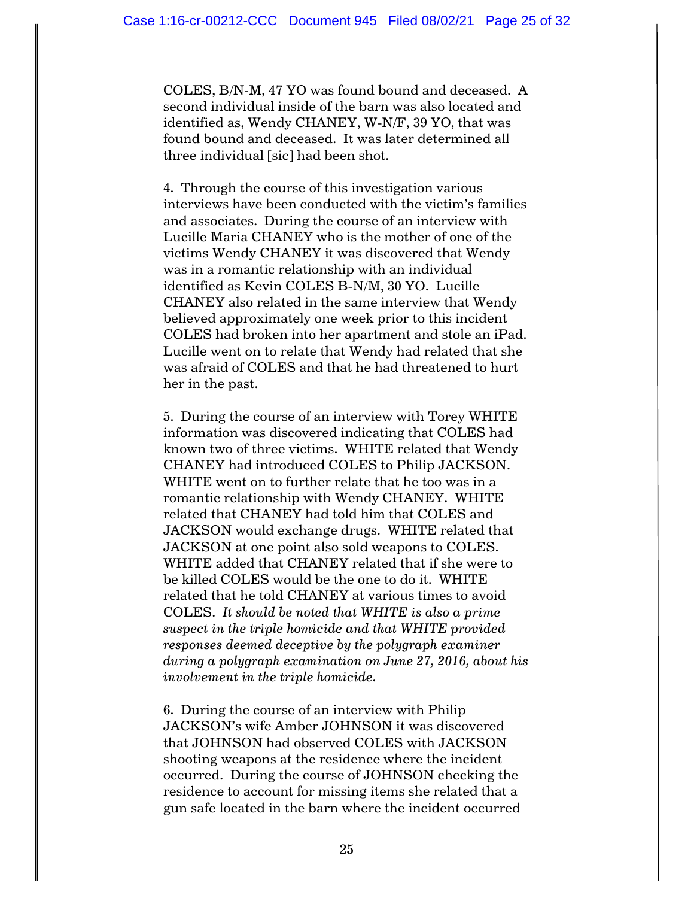COLES, B/N-M, 47 YO was found bound and deceased. A second individual inside of the barn was also located and identified as, Wendy CHANEY, W-N/F, 39 YO, that was found bound and deceased. It was later determined all three individual [sic] had been shot.

4. Through the course of this investigation various interviews have been conducted with the victim's families and associates. During the course of an interview with Lucille Maria CHANEY who is the mother of one of the victims Wendy CHANEY it was discovered that Wendy was in a romantic relationship with an individual identified as Kevin COLES B-N/M, 30 YO. Lucille CHANEY also related in the same interview that Wendy believed approximately one week prior to this incident COLES had broken into her apartment and stole an iPad. Lucille went on to relate that Wendy had related that she was afraid of COLES and that he had threatened to hurt her in the past.

5. During the course of an interview with Torey WHITE information was discovered indicating that COLES had known two of three victims. WHITE related that Wendy CHANEY had introduced COLES to Philip JACKSON. WHITE went on to further relate that he too was in a romantic relationship with Wendy CHANEY. WHITE related that CHANEY had told him that COLES and JACKSON would exchange drugs. WHITE related that JACKSON at one point also sold weapons to COLES. WHITE added that CHANEY related that if she were to be killed COLES would be the one to do it. WHITE related that he told CHANEY at various times to avoid COLES. *It should be noted that WHITE is also a prime suspect in the triple homicide and that WHITE provided responses deemed deceptive by the polygraph examiner during a polygraph examination on June 27, 2016, about his involvement in the triple homicide.*

6. During the course of an interview with Philip JACKSON's wife Amber JOHNSON it was discovered that JOHNSON had observed COLES with JACKSON shooting weapons at the residence where the incident occurred. During the course of JOHNSON checking the residence to account for missing items she related that a gun safe located in the barn where the incident occurred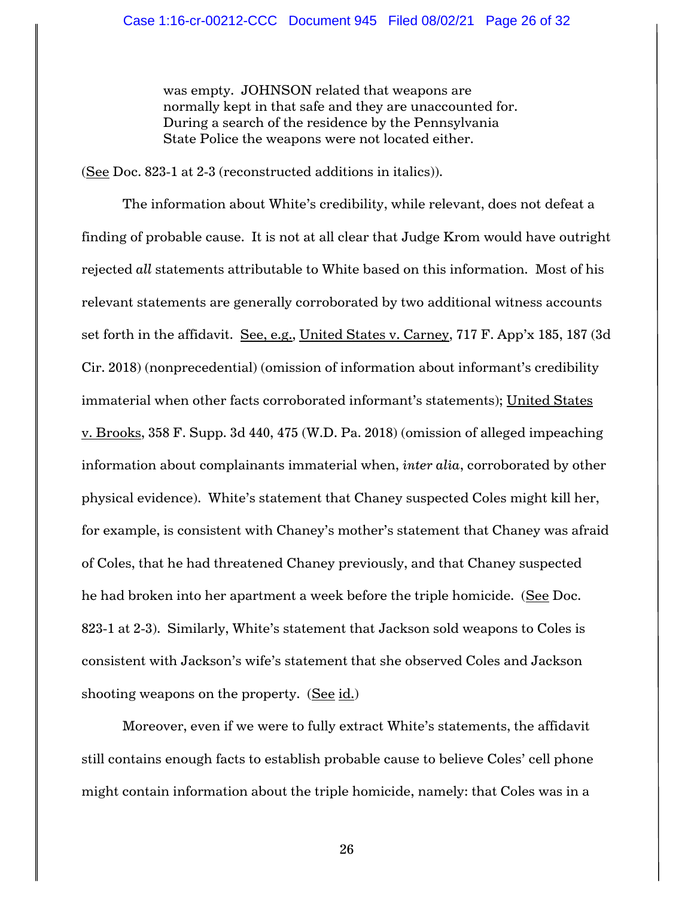was empty. JOHNSON related that weapons are normally kept in that safe and they are unaccounted for. During a search of the residence by the Pennsylvania State Police the weapons were not located either.

(See Doc. 823-1 at 2-3 (reconstructed additions in italics)).

The information about White's credibility, while relevant, does not defeat a finding of probable cause. It is not at all clear that Judge Krom would have outright rejected *all* statements attributable to White based on this information. Most of his relevant statements are generally corroborated by two additional witness accounts set forth in the affidavit. See, e.g., United States v. Carney, 717 F. App'x 185, 187 (3d Cir. 2018) (nonprecedential) (omission of information about informant's credibility immaterial when other facts corroborated informant's statements); United States v. Brooks, 358 F. Supp. 3d 440, 475 (W.D. Pa. 2018) (omission of alleged impeaching information about complainants immaterial when, *inter alia*, corroborated by other physical evidence). White's statement that Chaney suspected Coles might kill her, for example, is consistent with Chaney's mother's statement that Chaney was afraid of Coles, that he had threatened Chaney previously, and that Chaney suspected he had broken into her apartment a week before the triple homicide. (See Doc. 823-1 at 2-3). Similarly, White's statement that Jackson sold weapons to Coles is consistent with Jackson's wife's statement that she observed Coles and Jackson shooting weapons on the property. (See id.)

Moreover, even if we were to fully extract White's statements, the affidavit still contains enough facts to establish probable cause to believe Coles' cell phone might contain information about the triple homicide, namely: that Coles was in a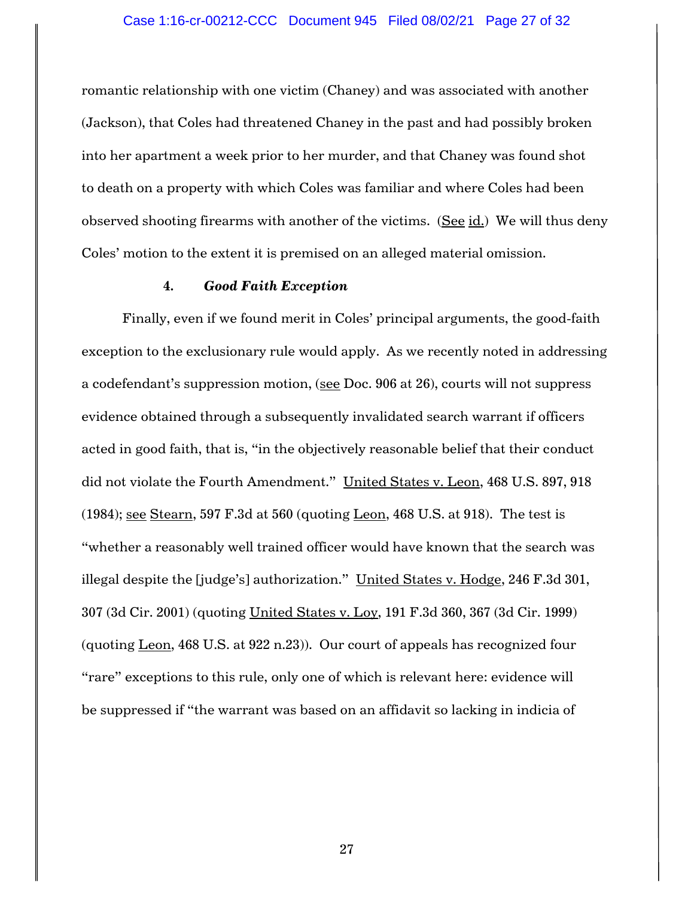romantic relationship with one victim (Chaney) and was associated with another (Jackson), that Coles had threatened Chaney in the past and had possibly broken into her apartment a week prior to her murder, and that Chaney was found shot to death on a property with which Coles was familiar and where Coles had been observed shooting firearms with another of the victims. (See id.) We will thus deny Coles' motion to the extent it is premised on an alleged material omission.

#### **4.** *Good Faith Exception*

Finally, even if we found merit in Coles' principal arguments, the good-faith exception to the exclusionary rule would apply. As we recently noted in addressing a codefendant's suppression motion, (see Doc. 906 at 26), courts will not suppress evidence obtained through a subsequently invalidated search warrant if officers acted in good faith, that is, "in the objectively reasonable belief that their conduct did not violate the Fourth Amendment." United States v. Leon, 468 U.S. 897, 918 (1984); see Stearn, 597 F.3d at 560 (quoting Leon, 468 U.S. at 918). The test is "whether a reasonably well trained officer would have known that the search was illegal despite the [judge's] authorization." United States v. Hodge, 246 F.3d 301, 307 (3d Cir. 2001) (quoting United States v. Loy, 191 F.3d 360, 367 (3d Cir. 1999) (quoting Leon, 468 U.S. at 922 n.23)). Our court of appeals has recognized four "rare" exceptions to this rule, only one of which is relevant here: evidence will be suppressed if "the warrant was based on an affidavit so lacking in indicia of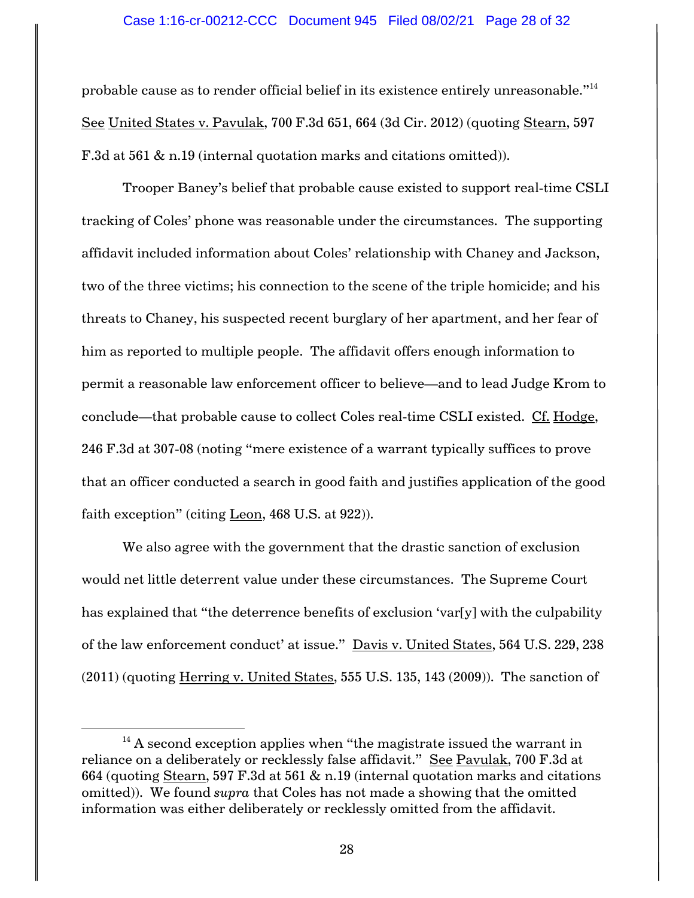probable cause as to render official belief in its existence entirely unreasonable."<sup>14</sup> See United States v. Pavulak, 700 F.3d 651, 664 (3d Cir. 2012) (quoting Stearn, 597 F.3d at 561 & n.19 (internal quotation marks and citations omitted)).

Trooper Baney's belief that probable cause existed to support real-time CSLI tracking of Coles' phone was reasonable under the circumstances. The supporting affidavit included information about Coles' relationship with Chaney and Jackson, two of the three victims; his connection to the scene of the triple homicide; and his threats to Chaney, his suspected recent burglary of her apartment, and her fear of him as reported to multiple people. The affidavit offers enough information to permit a reasonable law enforcement officer to believe—and to lead Judge Krom to conclude—that probable cause to collect Coles real-time CSLI existed. Cf. Hodge, 246 F.3d at 307-08 (noting "mere existence of a warrant typically suffices to prove that an officer conducted a search in good faith and justifies application of the good faith exception" (citing Leon, 468 U.S. at 922)).

We also agree with the government that the drastic sanction of exclusion would net little deterrent value under these circumstances. The Supreme Court has explained that "the deterrence benefits of exclusion 'var[y] with the culpability of the law enforcement conduct' at issue." Davis v. United States, 564 U.S. 229, 238  $(2011)$  (quoting Herring v. United States, 555 U.S. 135, 143  $(2009)$ ). The sanction of

 $14$  A second exception applies when "the magistrate issued the warrant in reliance on a deliberately or recklessly false affidavit." See Pavulak, 700 F.3d at 664 (quoting Stearn, 597 F.3d at 561  $\&$  n.19 (internal quotation marks and citations omitted)). We found *supra* that Coles has not made a showing that the omitted information was either deliberately or recklessly omitted from the affidavit.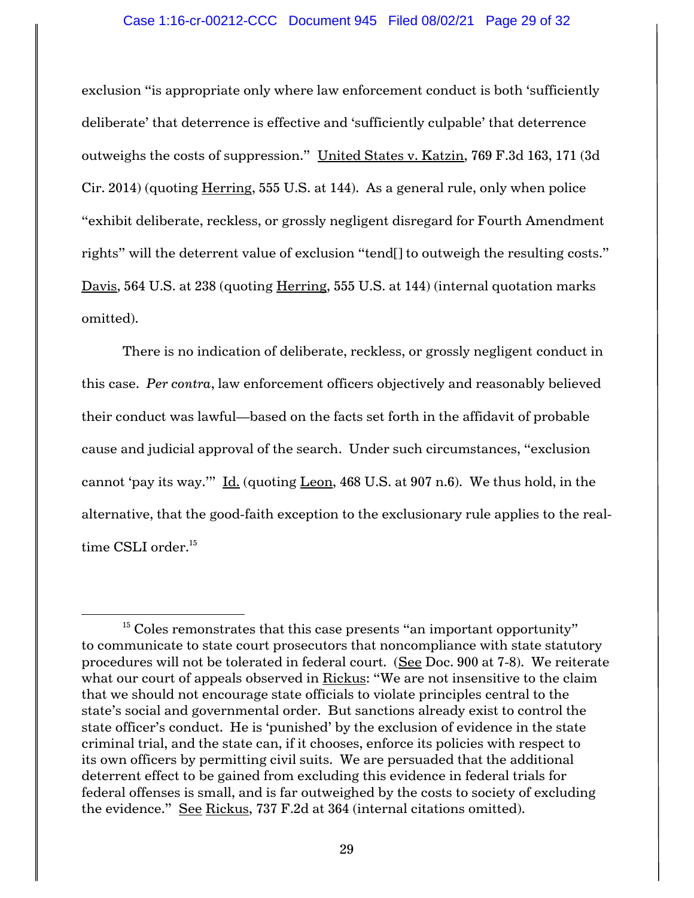exclusion "is appropriate only where law enforcement conduct is both 'sufficiently deliberate' that deterrence is effective and 'sufficiently culpable' that deterrence outweighs the costs of suppression." United States v. Katzin, 769 F.3d 163, 171 (3d Cir. 2014) (quoting Herring, 555 U.S. at 144). As a general rule, only when police "exhibit deliberate, reckless, or grossly negligent disregard for Fourth Amendment rights" will the deterrent value of exclusion "tend[] to outweigh the resulting costs." Davis, 564 U.S. at 238 (quoting Herring, 555 U.S. at 144) (internal quotation marks omitted).

There is no indication of deliberate, reckless, or grossly negligent conduct in this case. *Per contra*, law enforcement officers objectively and reasonably believed their conduct was lawful—based on the facts set forth in the affidavit of probable cause and judicial approval of the search. Under such circumstances, "exclusion cannot 'pay its way.'" Id. (quoting Leon, 468 U.S. at 907 n.6). We thus hold, in the alternative, that the good-faith exception to the exclusionary rule applies to the realtime CSLI order. 15

 $15$  Coles remonstrates that this case presents "an important opportunity" to communicate to state court prosecutors that noncompliance with state statutory procedures will not be tolerated in federal court. (See Doc. 900 at 7-8). We reiterate what our court of appeals observed in Rickus: "We are not insensitive to the claim that we should not encourage state officials to violate principles central to the state's social and governmental order. But sanctions already exist to control the state officer's conduct. He is 'punished' by the exclusion of evidence in the state criminal trial, and the state can, if it chooses, enforce its policies with respect to its own officers by permitting civil suits. We are persuaded that the additional deterrent effect to be gained from excluding this evidence in federal trials for federal offenses is small, and is far outweighed by the costs to society of excluding the evidence." See Rickus, 737 F.2d at 364 (internal citations omitted).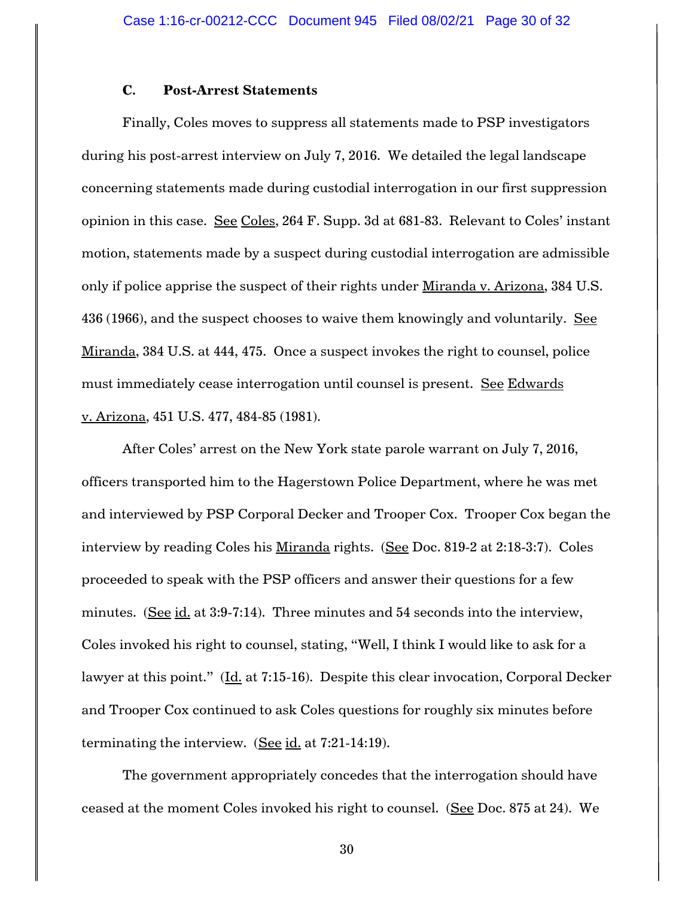### **C. Post-Arrest Statements**

Finally, Coles moves to suppress all statements made to PSP investigators during his post-arrest interview on July 7, 2016. We detailed the legal landscape concerning statements made during custodial interrogation in our first suppression opinion in this case. See Coles, 264 F. Supp. 3d at 681-83. Relevant to Coles' instant motion, statements made by a suspect during custodial interrogation are admissible only if police apprise the suspect of their rights under Miranda v. Arizona, 384 U.S. 436 (1966), and the suspect chooses to waive them knowingly and voluntarily. See Miranda, 384 U.S. at 444, 475. Once a suspect invokes the right to counsel, police must immediately cease interrogation until counsel is present. See Edwards v. Arizona, 451 U.S. 477, 484-85 (1981).

After Coles' arrest on the New York state parole warrant on July 7, 2016, officers transported him to the Hagerstown Police Department, where he was met and interviewed by PSP Corporal Decker and Trooper Cox. Trooper Cox began the interview by reading Coles his Miranda rights. (See Doc. 819-2 at 2:18-3:7). Coles proceeded to speak with the PSP officers and answer their questions for a few minutes. (See id. at 3:9-7:14). Three minutes and 54 seconds into the interview, Coles invoked his right to counsel, stating, "Well, I think I would like to ask for a lawyer at this point." (Id. at 7:15-16). Despite this clear invocation, Corporal Decker and Trooper Cox continued to ask Coles questions for roughly six minutes before terminating the interview. (See id. at 7:21-14:19).

The government appropriately concedes that the interrogation should have ceased at the moment Coles invoked his right to counsel. (See Doc. 875 at 24). We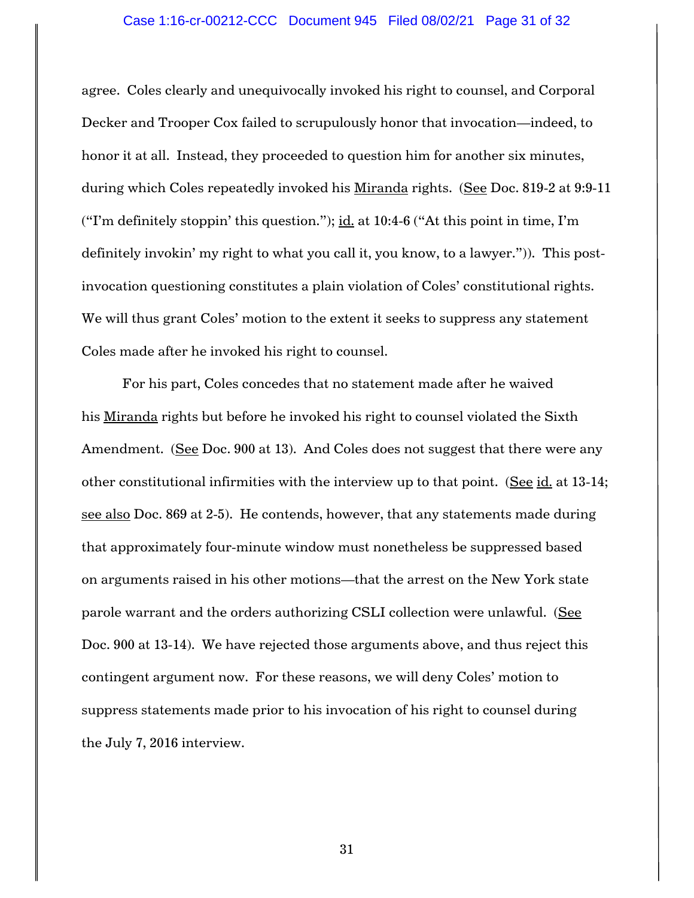agree. Coles clearly and unequivocally invoked his right to counsel, and Corporal Decker and Trooper Cox failed to scrupulously honor that invocation—indeed, to honor it at all. Instead, they proceeded to question him for another six minutes, during which Coles repeatedly invoked his Miranda rights. (See Doc. 819-2 at 9:9-11 ("I'm definitely stoppin' this question."); id. at  $10:4-6$  ("At this point in time, I'm definitely invokin' my right to what you call it, you know, to a lawyer.")). This postinvocation questioning constitutes a plain violation of Coles' constitutional rights. We will thus grant Coles' motion to the extent it seeks to suppress any statement Coles made after he invoked his right to counsel.

For his part, Coles concedes that no statement made after he waived his Miranda rights but before he invoked his right to counsel violated the Sixth Amendment. (See Doc. 900 at 13). And Coles does not suggest that there were any other constitutional infirmities with the interview up to that point. (See id. at 13-14; see also Doc. 869 at 2-5). He contends, however, that any statements made during that approximately four-minute window must nonetheless be suppressed based on arguments raised in his other motions—that the arrest on the New York state parole warrant and the orders authorizing CSLI collection were unlawful. (See Doc. 900 at 13-14). We have rejected those arguments above, and thus reject this contingent argument now. For these reasons, we will deny Coles' motion to suppress statements made prior to his invocation of his right to counsel during the July 7, 2016 interview.